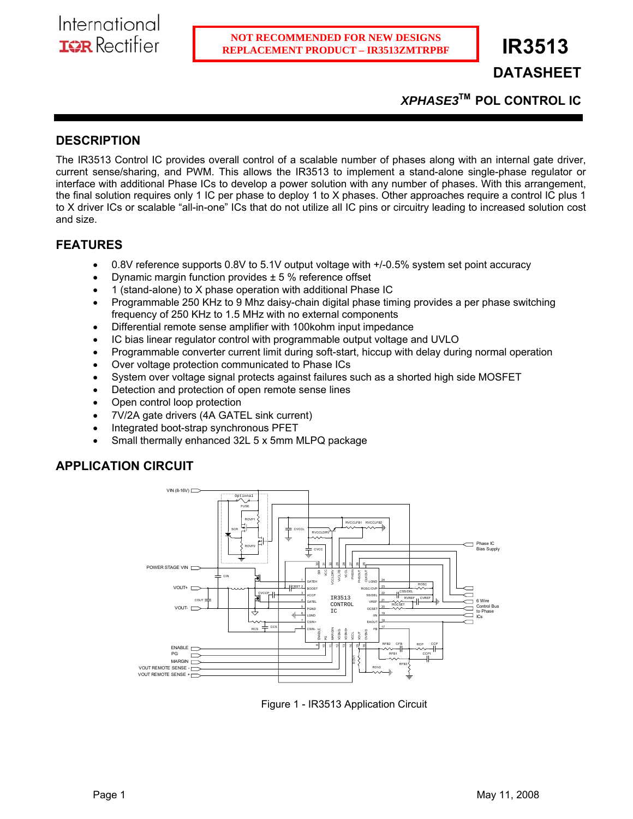# **DATASHEET**

*XPHASE3***TM POL CONTROL IC** 

# **DESCRIPTION**

The IR3513 Control IC provides overall control of a scalable number of phases along with an internal gate driver, current sense/sharing, and PWM. This allows the IR3513 to implement a stand-alone single-phase regulator or interface with additional Phase ICs to develop a power solution with any number of phases. With this arrangement, the final solution requires only 1 IC per phase to deploy 1 to X phases. Other approaches require a control IC plus 1 to X driver ICs or scalable "all-in-one" ICs that do not utilize all IC pins or circuitry leading to increased solution cost and size.

# **FEATURES**

- 0.8V reference supports 0.8V to 5.1V output voltage with +/-0.5% system set point accuracy
- Dynamic margin function provides  $\pm$  5 % reference offset
- 1 (stand-alone) to X phase operation with additional Phase IC
- Programmable 250 KHz to 9 Mhz daisy-chain digital phase timing provides a per phase switching frequency of 250 KHz to 1.5 MHz with no external components
- Differential remote sense amplifier with 100kohm input impedance
- IC bias linear regulator control with programmable output voltage and UVLO
- Programmable converter current limit during soft-start, hiccup with delay during normal operation
- Over voltage protection communicated to Phase ICs
- System over voltage signal protects against failures such as a shorted high side MOSFET
- Detection and protection of open remote sense lines
- Open control loop protection
- 7V/2A gate drivers (4A GATEL sink current)
- Integrated boot-strap synchronous PFET
- Small thermally enhanced 32L 5 x 5mm MLPQ package

# **APPLICATION CIRCUIT**



Figure 1 - IR3513 Application Circuit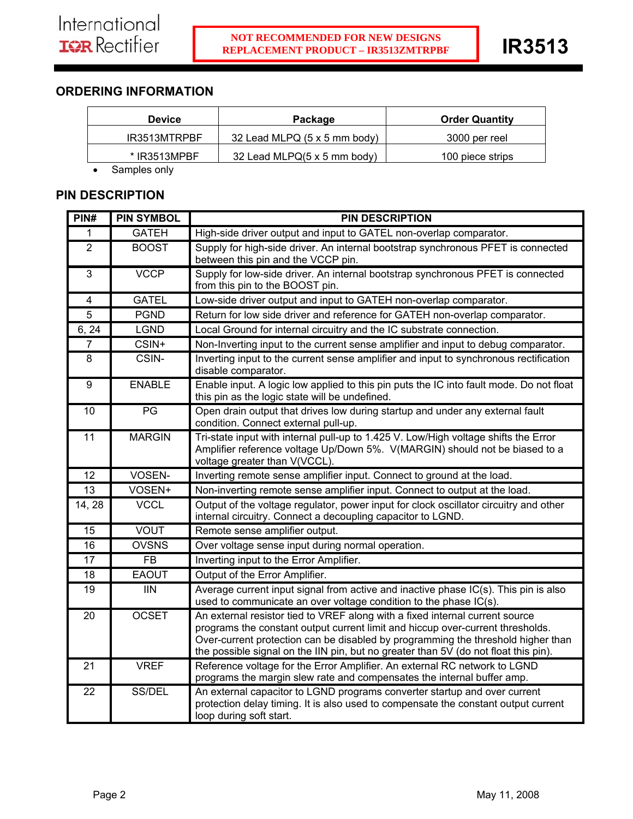# **ORDERING INFORMATION**

| <b>Device</b>  | Package                      | <b>Order Quantity</b> |
|----------------|------------------------------|-----------------------|
| IR3513MTRPBF   | 32 Lead MLPQ (5 x 5 mm body) | 3000 per reel         |
| $*$ IR3513MPBF | 32 Lead MLPQ(5 x 5 mm body)  | 100 piece strips      |
| Samples only   |                              |                       |

**PIN DESCRIPTION** 

| PIN#            | <b>PIN SYMBOL</b> | <b>PIN DESCRIPTION</b>                                                                                                                                                                                                                                                                                                                    |
|-----------------|-------------------|-------------------------------------------------------------------------------------------------------------------------------------------------------------------------------------------------------------------------------------------------------------------------------------------------------------------------------------------|
| 1               | <b>GATEH</b>      | High-side driver output and input to GATEL non-overlap comparator.                                                                                                                                                                                                                                                                        |
| $\overline{2}$  | <b>BOOST</b>      | Supply for high-side driver. An internal bootstrap synchronous PFET is connected<br>between this pin and the VCCP pin.                                                                                                                                                                                                                    |
| $\overline{3}$  | <b>VCCP</b>       | Supply for low-side driver. An internal bootstrap synchronous PFET is connected<br>from this pin to the BOOST pin.                                                                                                                                                                                                                        |
| $\overline{4}$  | <b>GATEL</b>      | Low-side driver output and input to GATEH non-overlap comparator.                                                                                                                                                                                                                                                                         |
| $\overline{5}$  | <b>PGND</b>       | Return for low side driver and reference for GATEH non-overlap comparator.                                                                                                                                                                                                                                                                |
| 6, 24           | <b>LGND</b>       | Local Ground for internal circuitry and the IC substrate connection.                                                                                                                                                                                                                                                                      |
| $\overline{7}$  | CSIN+             | Non-Inverting input to the current sense amplifier and input to debug comparator.                                                                                                                                                                                                                                                         |
| 8               | CSIN-             | Inverting input to the current sense amplifier and input to synchronous rectification<br>disable comparator.                                                                                                                                                                                                                              |
| 9               | <b>ENABLE</b>     | Enable input. A logic low applied to this pin puts the IC into fault mode. Do not float<br>this pin as the logic state will be undefined.                                                                                                                                                                                                 |
| 10              | PG                | Open drain output that drives low during startup and under any external fault<br>condition. Connect external pull-up.                                                                                                                                                                                                                     |
| 11              | <b>MARGIN</b>     | Tri-state input with internal pull-up to 1.425 V. Low/High voltage shifts the Error<br>Amplifier reference voltage Up/Down 5%. V(MARGIN) should not be biased to a<br>voltage greater than V(VCCL).                                                                                                                                       |
| 12              | VOSEN-            | Inverting remote sense amplifier input. Connect to ground at the load.                                                                                                                                                                                                                                                                    |
| 13              | VOSEN+            | Non-inverting remote sense amplifier input. Connect to output at the load.                                                                                                                                                                                                                                                                |
| 14, 28          | <b>VCCL</b>       | Output of the voltage regulator, power input for clock oscillator circuitry and other<br>internal circuitry. Connect a decoupling capacitor to LGND.                                                                                                                                                                                      |
| $\overline{15}$ | <b>VOUT</b>       | Remote sense amplifier output.                                                                                                                                                                                                                                                                                                            |
| $\overline{16}$ | <b>OVSNS</b>      | Over voltage sense input during normal operation.                                                                                                                                                                                                                                                                                         |
| 17              | <b>FB</b>         | Inverting input to the Error Amplifier.                                                                                                                                                                                                                                                                                                   |
| 18              | <b>EAOUT</b>      | Output of the Error Amplifier.                                                                                                                                                                                                                                                                                                            |
| 19              | <b>IIN</b>        | Average current input signal from active and inactive phase IC(s). This pin is also<br>used to communicate an over voltage condition to the phase IC(s).                                                                                                                                                                                  |
| 20              | <b>OCSET</b>      | An external resistor tied to VREF along with a fixed internal current source<br>programs the constant output current limit and hiccup over-current thresholds.<br>Over-current protection can be disabled by programming the threshold higher than<br>the possible signal on the IIN pin, but no greater than 5V (do not float this pin). |
| $\overline{21}$ | <b>VREF</b>       | Reference voltage for the Error Amplifier. An external RC network to LGND<br>programs the margin slew rate and compensates the internal buffer amp.                                                                                                                                                                                       |
| 22              | SS/DEL            | An external capacitor to LGND programs converter startup and over current<br>protection delay timing. It is also used to compensate the constant output current<br>loop during soft start.                                                                                                                                                |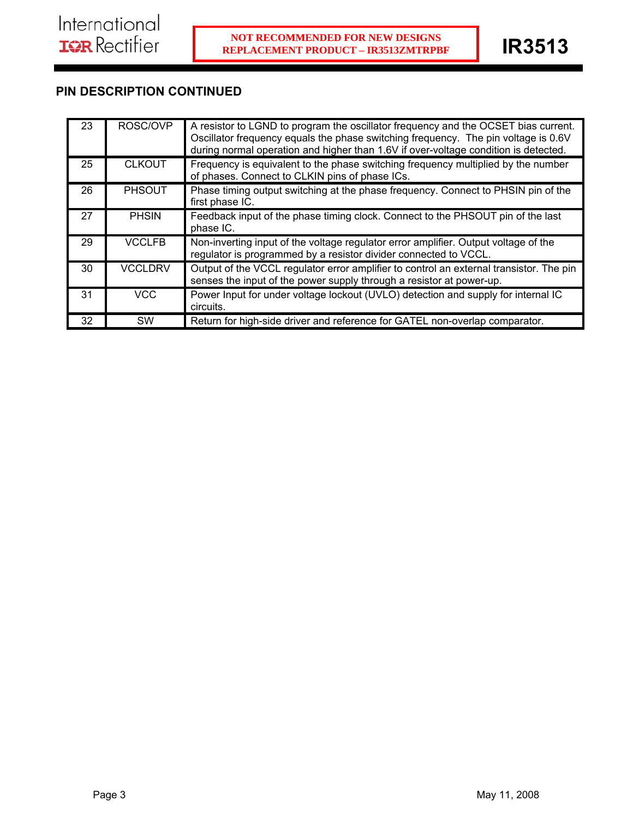# **PIN DESCRIPTION CONTINUED**

| 23 | ROSC/OVP       | A resistor to LGND to program the oscillator frequency and the OCSET bias current.<br>Oscillator frequency equals the phase switching frequency. The pin voltage is 0.6V<br>during normal operation and higher than 1.6V if over-voltage condition is detected. |
|----|----------------|-----------------------------------------------------------------------------------------------------------------------------------------------------------------------------------------------------------------------------------------------------------------|
| 25 | <b>CLKOUT</b>  | Frequency is equivalent to the phase switching frequency multiplied by the number<br>of phases. Connect to CLKIN pins of phase ICs.                                                                                                                             |
| 26 | <b>PHSOUT</b>  | Phase timing output switching at the phase frequency. Connect to PHSIN pin of the<br>first phase IC.                                                                                                                                                            |
| 27 | <b>PHSIN</b>   | Feedback input of the phase timing clock. Connect to the PHSOUT pin of the last<br>phase IC.                                                                                                                                                                    |
| 29 | <b>VCCLFB</b>  | Non-inverting input of the voltage regulator error amplifier. Output voltage of the<br>regulator is programmed by a resistor divider connected to VCCL.                                                                                                         |
| 30 | <b>VCCLDRV</b> | Output of the VCCL regulator error amplifier to control an external transistor. The pin<br>senses the input of the power supply through a resistor at power-up.                                                                                                 |
| 31 | VCC.           | Power Input for under voltage lockout (UVLO) detection and supply for internal IC<br>circuits.                                                                                                                                                                  |
| 32 | <b>SW</b>      | Return for high-side driver and reference for GATEL non-overlap comparator.                                                                                                                                                                                     |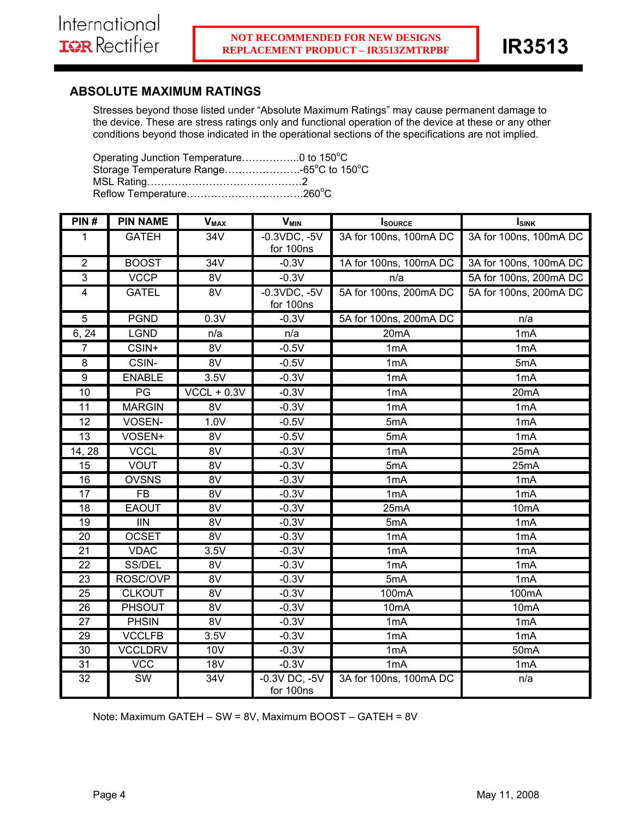# **ABSOLUTE MAXIMUM RATINGS**

Stresses beyond those listed under "Absolute Maximum Ratings" may cause permanent damage to the device. These are stress ratings only and functional operation of the device at these or any other conditions beyond those indicated in the operational sections of the specifications are not implied.

Operating Junction Temperature...................0 to  $150^{\circ}$ C Storage Temperature Range……………………-65°C to 150°C MSL Rating………………………………………2 Reflow Temperature…………………………….260<sup>o</sup> C

| PIN#                    | <b>PIN NAME</b>          | <b>V<sub>MAX</sub></b> | <b>V<sub>MIN</sub></b>         | <b>I</b> source        | $I_{SINK}$             |
|-------------------------|--------------------------|------------------------|--------------------------------|------------------------|------------------------|
| $\mathbf{1}$            | <b>GATEH</b>             | $\overline{34V}$       | $-0.3VDC, -5V$<br>for 100ns    | 3A for 100ns, 100mA DC | 3A for 100ns, 100mA DC |
| $\overline{2}$          | <b>BOOST</b>             | 34V                    | $-0.3V$                        | 1A for 100ns, 100mA DC | 3A for 100ns, 100mA DC |
| $\overline{3}$          | <b>VCCP</b>              | 8V                     | $-0.3V$                        | n/a                    | 5A for 100ns, 200mA DC |
| $\overline{\mathbf{4}}$ | <b>GATEL</b>             | 8V                     | $-0.3VDC, -5V$<br>for 100ns    | 5A for 100ns, 200mA DC | 5A for 100ns, 200mA DC |
| 5                       | <b>PGND</b>              | $\overline{0.3V}$      | $-0.3V$                        | 5A for 100ns, 200mA DC | n/a                    |
| 6, 24                   | <b>LGND</b>              | n/a                    | n/a                            | 20 <sub>m</sub> A      | 1mA                    |
| $\overline{7}$          | CSIN+                    | 8V                     | $-0.5V$                        | 1mA                    | 1mA                    |
| 8                       | CSIN-                    | 8V                     | $-0.5V$                        | 1 <sub>m</sub> A       | 5mA                    |
| $\overline{9}$          | <b>ENABLE</b>            | 3.5V                   | $-0.3V$                        | 1 <sub>m</sub> A       | 1 <sub>m</sub> A       |
| 10                      | $\overline{PG}$          | $VCCL + 0.3V$          | $-0.3V$                        | 1 <sub>m</sub> A       | 20 <sub>m</sub> A      |
| 11                      | <b>MARGIN</b>            | 8V                     | $-0.3V$                        | 1 <sub>m</sub> A       | 1mA                    |
| 12                      | VOSEN-                   | 1.0V                   | $-0.5V$                        | 5mA                    | 1 <sub>m</sub> A       |
| 13                      | VOSEN+                   | 8V                     | $-0.5V$                        | 5mA                    | 1 <sub>m</sub> A       |
| 14, 28                  | <b>VCCL</b>              | $\overline{8V}$        | $-0.3V$                        | 1 <sub>m</sub> A       | 25mA                   |
| 15                      | <b>VOUT</b>              | $\overline{8V}$        | $-0.3V$                        | 5mA                    | 25mA                   |
| 16                      | <b>OVSNS</b>             | $\overline{8V}$        | $-0.3V$                        | 1 <sub>m</sub> A       | 1mA                    |
| 17                      | <b>FB</b>                | 8V                     | $-0.3V$                        | 1mA                    | 1mA                    |
| $\overline{18}$         | <b>EAOUT</b>             | $\overline{8V}$        | $-0.3V$                        | 25mA                   | 10 <sub>m</sub> A      |
| $\overline{19}$         | $\overline{\mathsf{IN}}$ | 8V                     | $-0.3V$                        | 5mA                    | 1 <sub>m</sub> A       |
| 20                      | <b>OCSET</b>             | 8V                     | $-0.3V$                        | 1 <sub>m</sub> A       | 1mA                    |
| 21                      | <b>VDAC</b>              | 3.5V                   | $-0.3V$                        | 1 <sub>m</sub> A       | 1mA                    |
| $\overline{22}$         | SS/DEL                   | 8V                     | $-0.3V$                        | 1 <sub>m</sub> A       | 1 <sub>m</sub> A       |
| 23                      | ROSC/OVP                 | 8V                     | $-0.3V$                        | 5mA                    | 1mA                    |
| 25                      | <b>CLKOUT</b>            | 8V                     | $-0.3V$                        | 100mA                  | 100mA                  |
| 26                      | <b>PHSOUT</b>            | $\overline{8V}$        | $-0.3V$                        | 10mA                   | 10 <sub>m</sub> A      |
| 27                      | <b>PHSIN</b>             | $\overline{8V}$        | $-0.3V$                        | 1 <sub>m</sub> A       | 1 <sub>m</sub> A       |
| 29                      | <b>VCCLFB</b>            | 3.5V                   | $-0.3V$                        | 1mA                    | 1mA                    |
| $\overline{30}$         | <b>VCCLDRV</b>           | <b>10V</b>             | $-0.3V$                        | 1mA                    | 50 <sub>m</sub> A      |
| 31                      | <b>VCC</b>               | <b>18V</b>             | $-0.3V$                        | 1 <sub>m</sub> A       | 1mA                    |
| 32                      | SW                       | 34V                    | $-0.3V$ DC, $-5V$<br>for 100ns | 3A for 100ns, 100mA DC | n/a                    |

Note: Maximum GATEH – SW = 8V, Maximum BOOST – GATEH = 8V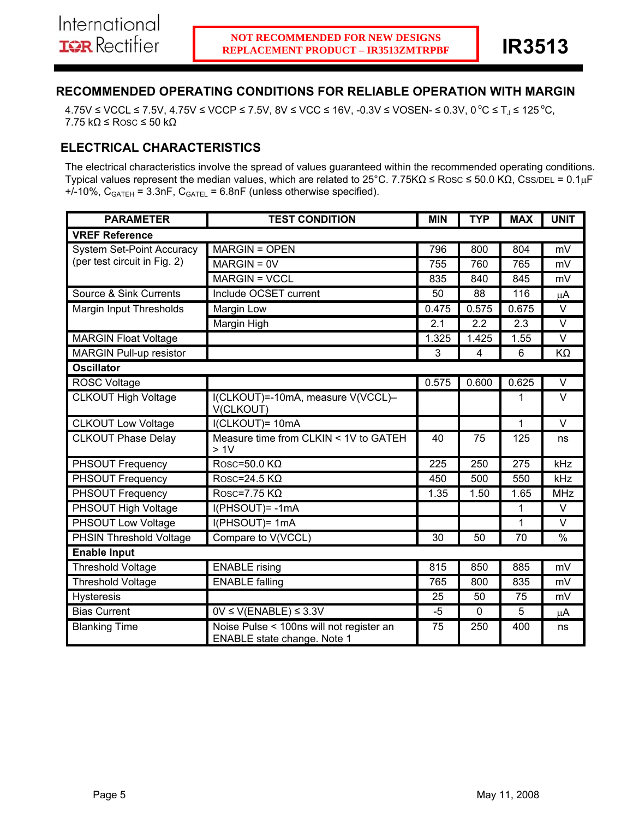# **RECOMMENDED OPERATING CONDITIONS FOR RELIABLE OPERATION WITH MARGIN**

 $4.75V \leq$  VCCL ≤ 7.5V,  $4.75V \leq$  VCCP ≤ 7.5V,  $8V \leq$  VCC ≤ 16V, -0.3V ≤ VOSEN- ≤ 0.3V, 0 °C ≤ T<sub>J</sub> ≤ 125 °C, 7.75 kΩ ≤ ROSC ≤ 50 kΩ

# **ELECTRICAL CHARACTERISTICS**

The electrical characteristics involve the spread of values guaranteed within the recommended operating conditions. Typical values represent the median values, which are related to 25°C. 7.75K $\Omega \leq \text{Rosc} \leq 50.0 \text{ K}\Omega$ , Css/DEL = 0.1µF  $+/-10\%$ , C<sub>GATEH</sub> = 3.3nF, C<sub>GATEL</sub> = 6.8nF (unless otherwise specified).

| <b>PARAMETER</b>                 | <b>TEST CONDITION</b>                                                   | <b>MIN</b>       | <b>TYP</b>        | <b>MAX</b>       | <b>UNIT</b>      |
|----------------------------------|-------------------------------------------------------------------------|------------------|-------------------|------------------|------------------|
| <b>VREF Reference</b>            |                                                                         |                  |                   |                  |                  |
| <b>System Set-Point Accuracy</b> | <b>MARGIN = OPEN</b>                                                    | 796              | 800               | 804              | mV               |
| (per test circuit in Fig. 2)     | $MARGIN = 0V$                                                           | 755              | 760               | 765              | mV               |
|                                  | <b>MARGIN = VCCL</b>                                                    | 835              | 840               | 845              | mV               |
| Source & Sink Currents           | Include OCSET current                                                   | 50               | 88                | 116              | $\mu$ A          |
| Margin Input Thresholds          | Margin Low                                                              | 0.475            | 0.575             | 0.675            | $\vee$           |
|                                  | Margin High                                                             | 2.1              | 2.2               | 2.3              | $\vee$           |
| <b>MARGIN Float Voltage</b>      |                                                                         | 1.325            | 1.425             | 1.55             | $\vee$           |
| MARGIN Pull-up resistor          |                                                                         | 3                | 4                 | $6\phantom{1}$   | KΩ               |
| <b>Oscillator</b>                |                                                                         |                  |                   |                  |                  |
| <b>ROSC Voltage</b>              |                                                                         | 0.575            | 0.600             | 0.625            | $\vee$           |
| <b>CLKOUT High Voltage</b>       | I(CLKOUT)=-10mA, measure V(VCCL)-<br>V(CLKOUT)                          |                  |                   | 1                | $\vee$           |
| <b>CLKOUT Low Voltage</b>        | I(CLKOUT)= 10mA                                                         |                  |                   | 1                | $\vee$           |
| <b>CLKOUT Phase Delay</b>        | Measure time from CLKIN < 1V to GATEH<br>> 1V                           | 40               | 75                | 125              | ns               |
| <b>PHSOUT Frequency</b>          | $Rosc=50.0 K\Omega$                                                     | $\overline{225}$ | 250               | $\overline{275}$ | $\overline{kHz}$ |
| <b>PHSOUT Frequency</b>          | Rosc=24.5 $K\Omega$                                                     | 450              | 500               | 550              | kHz              |
| <b>PHSOUT Frequency</b>          | $Rosc=7.75 K\Omega$                                                     | 1.35             | $\overline{1.50}$ | 1.65             | <b>MHz</b>       |
| <b>PHSOUT High Voltage</b>       | I(PHSOUT)=-1mA                                                          |                  |                   | 1                | $\vee$           |
| <b>PHSOUT Low Voltage</b>        | I(PHSOUT)= 1mA                                                          |                  |                   | 1                | $\vee$           |
| <b>PHSIN Threshold Voltage</b>   | Compare to V(VCCL)                                                      | 30               | 50                | 70               | %                |
| <b>Enable Input</b>              |                                                                         |                  |                   |                  |                  |
| <b>Threshold Voltage</b>         | <b>ENABLE</b> rising                                                    | 815              | 850               | 885              | mV               |
| <b>Threshold Voltage</b>         | <b>ENABLE falling</b>                                                   | 765              | 800               | 835              | mV               |
| <b>Hysteresis</b>                |                                                                         | 25               | 50                | 75               | mV               |
| <b>Bias Current</b>              | $0V \leq V(ENABLE) \leq 3.3V$                                           | $-5$             | $\mathbf 0$       | 5                | $\mu$ A          |
| <b>Blanking Time</b>             | Noise Pulse < 100ns will not register an<br>ENABLE state change. Note 1 | 75               | 250               | 400              | ns               |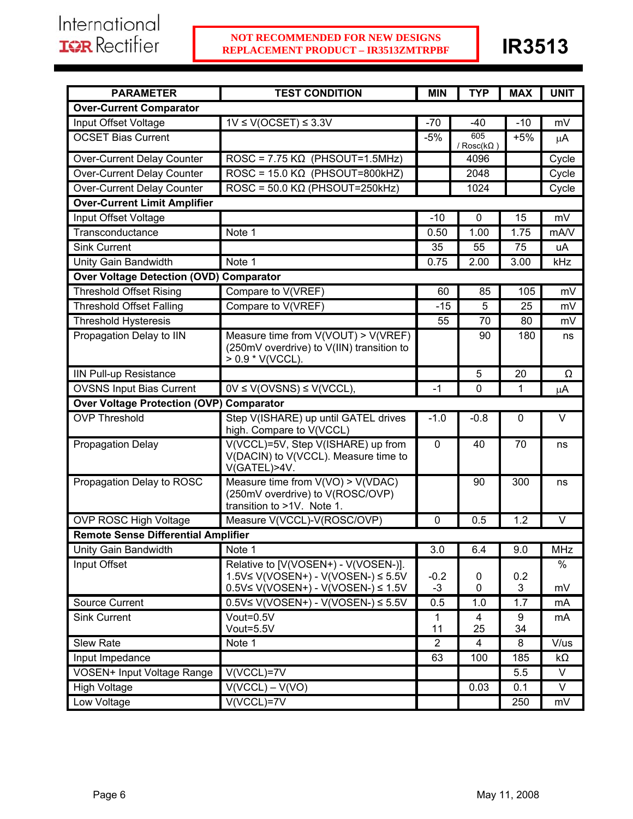| <b>PARAMETER</b>                                | <b>TEST CONDITION</b>                                                                                                   | <b>MIN</b>     | <b>TYP</b>               | <b>MAX</b> | <b>UNIT</b>       |
|-------------------------------------------------|-------------------------------------------------------------------------------------------------------------------------|----------------|--------------------------|------------|-------------------|
| <b>Over-Current Comparator</b>                  |                                                                                                                         |                |                          |            |                   |
| Input Offset Voltage                            | $1V \leq V(OCSET) \leq 3.3V$                                                                                            | $-70$          | -40                      | $-10$      | mV                |
| <b>OCSET Bias Current</b>                       |                                                                                                                         | $-5%$          | 605<br>/ $Rosc(k\Omega)$ | $+5%$      | $\mu$ A           |
| Over-Current Delay Counter                      | ROSC = $7.75 \text{ K}\Omega$ (PHSOUT=1.5MHz)                                                                           |                | 4096                     |            | Cycle             |
| <b>Over-Current Delay Counter</b>               | ROSC = $15.0 \text{ K}\Omega$ (PHSOUT=800kHZ)                                                                           |                | 2048                     |            | Cycle             |
| Over-Current Delay Counter                      | $ROSC = 50.0 K\Omega (PHSOUT=250kHz)$                                                                                   |                | 1024                     |            | Cycle             |
| <b>Over-Current Limit Amplifier</b>             |                                                                                                                         |                |                          |            |                   |
| Input Offset Voltage                            |                                                                                                                         | $-10$          | 0                        | 15         | mV                |
| Transconductance                                | Note 1                                                                                                                  | 0.50           | 1.00                     | 1.75       | mA/V              |
| <b>Sink Current</b>                             |                                                                                                                         | 35             | 55                       | 75         | uA                |
| Unity Gain Bandwidth                            | Note 1                                                                                                                  | 0.75           | 2.00                     | 3.00       | kHz               |
| <b>Over Voltage Detection (OVD) Comparator</b>  |                                                                                                                         |                |                          |            |                   |
| <b>Threshold Offset Rising</b>                  | Compare to V(VREF)                                                                                                      | 60             | 85                       | 105        | mV                |
| <b>Threshold Offset Falling</b>                 | Compare to V(VREF)                                                                                                      | $-15$          | 5                        | 25         | mV                |
| <b>Threshold Hysteresis</b>                     |                                                                                                                         | 55             | 70                       | 80         | mV                |
| Propagation Delay to IIN                        | Measure time from V(VOUT) > V(VREF)<br>(250mV overdrive) to V(IIN) transition to<br>$> 0.9$ * V(VCCL).                  |                | 90                       | 180        | ns                |
| <b>IIN Pull-up Resistance</b>                   |                                                                                                                         |                | 5                        | 20         | Ω                 |
| <b>OVSNS Input Bias Current</b>                 | $0V \le V(OV S N S) \le V(V C C L),$                                                                                    | $-1$           | 0                        | 1          | μA                |
| <b>Over Voltage Protection (OVP) Comparator</b> |                                                                                                                         |                |                          |            |                   |
| <b>OVP Threshold</b>                            | Step V(ISHARE) up until GATEL drives<br>high. Compare to V(VCCL)                                                        | $-1.0$         | $-0.8$                   | 0          | $\vee$            |
| <b>Propagation Delay</b>                        | V(VCCL)=5V, Step V(ISHARE) up from<br>V(DACIN) to V(VCCL). Measure time to<br>V(GATEL)>4V.                              | $\mathbf 0$    | 40                       | 70         | ns                |
| Propagation Delay to ROSC                       | Measure time from $V(VO) > V(VDAC)$<br>(250mV overdrive) to V(ROSC/OVP)<br>transition to >1V. Note 1.                   |                | 90                       | 300        | ns                |
| OVP ROSC High Voltage                           | Measure V(VCCL)-V(ROSC/OVP)                                                                                             | 0              | 0.5                      | 1.2        | V                 |
| <b>Remote Sense Differential Amplifier</b>      |                                                                                                                         |                |                          |            |                   |
| Unity Gain Bandwidth                            | Note 1                                                                                                                  | 3.0            | 6.4                      | 9.0        | <b>MHz</b>        |
| Input Offset                                    | Relative to [V(VOSEN+) - V(VOSEN-)].<br>1.5V≤ V(VOSEN+) - V(VOSEN-) ≤ 5.5V<br>$0.5V \le V(VOSEN+) - V(VOSEN-) \le 1.5V$ | $-0.2$<br>$-3$ | 0<br>0                   | 0.2<br>3   | $\%$<br>mV        |
| Source Current                                  | $0.5V \le V(VOSEN+) - V(VOSEN-) \le 5.5V$                                                                               | 0.5            | 1.0                      | 1.7        | mA                |
| <b>Sink Current</b>                             | Vout=0.5V<br>Vout=5.5V                                                                                                  | 1<br>11        | 4<br>25                  | 9<br>34    | mA                |
| Slew Rate                                       | Note 1                                                                                                                  | $\overline{2}$ | $\overline{\mathbf{4}}$  | 8          | V/us              |
| Input Impedance                                 |                                                                                                                         | 63             | 100                      | 185        | $k\Omega$         |
| <b>VOSEN+ Input Voltage Range</b>               | $V(VCCL)=7V$                                                                                                            |                |                          | 5.5        | $\overline{\vee}$ |
| <b>High Voltage</b>                             | $V(VCCL) - V(VO)$                                                                                                       |                | 0.03                     | 0.1        | V                 |
| Low Voltage                                     | $V(VCCL)=7V$                                                                                                            |                |                          | 250        | mV                |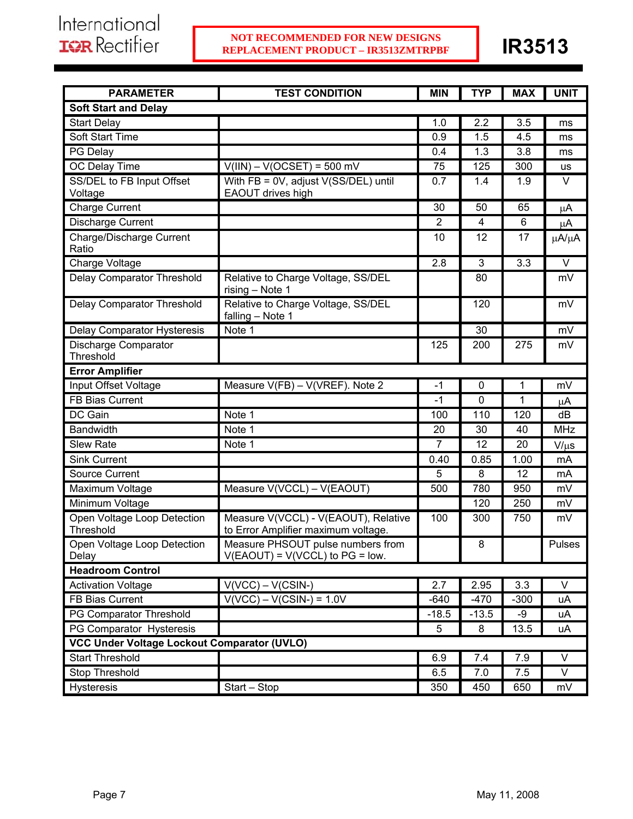| <b>PARAMETER</b>                            | <b>TEST CONDITION</b>                                                       | <b>MIN</b>     | <b>TYP</b>   | <b>MAX</b> | <b>UNIT</b>   |
|---------------------------------------------|-----------------------------------------------------------------------------|----------------|--------------|------------|---------------|
| <b>Soft Start and Delay</b>                 |                                                                             |                |              |            |               |
| <b>Start Delay</b>                          |                                                                             | 1.0            | 2.2          | 3.5        | ms            |
| Soft Start Time                             |                                                                             | 0.9            | 1.5          | 4.5        | ms            |
| PG Delay                                    |                                                                             | 0.4            | 1.3          | 3.8        | ms            |
| OC Delay Time                               | $V(III) - V(OCSET) = 500$ mV                                                | 75             | 125          | 300        | us            |
| SS/DEL to FB Input Offset<br>Voltage        | With FB = 0V, adjust V(SS/DEL) until<br>EAOUT drives high                   | 0.7            | 1.4          | 1.9        | $\vee$        |
| <b>Charge Current</b>                       |                                                                             | 30             | 50           | 65         | μA            |
| <b>Discharge Current</b>                    |                                                                             | 2              | 4            | 6          | μA            |
| Charge/Discharge Current<br>Ratio           |                                                                             | 10             | 12           | 17         | μA/μA         |
| Charge Voltage                              |                                                                             | 2.8            | 3            | 3.3        | $\vee$        |
| Delay Comparator Threshold                  | Relative to Charge Voltage, SS/DEL<br>rising - Note 1                       |                | 80           |            | mV            |
| Delay Comparator Threshold                  | Relative to Charge Voltage, SS/DEL<br>falling - Note 1                      |                | 120          |            | mV            |
| Delay Comparator Hysteresis                 | Note 1                                                                      |                | 30           |            | mV            |
| Discharge Comparator<br>Threshold           |                                                                             | 125            | 200          | 275        | mV            |
| <b>Error Amplifier</b>                      |                                                                             |                |              |            |               |
| Input Offset Voltage                        | Measure V(FB) - V(VREF). Note 2                                             | -1             | 0            | 1          | mV            |
| FB Bias Current                             |                                                                             | $-1$           | $\mathbf{0}$ | 1          | μA            |
| DC Gain                                     | Note 1                                                                      | 100            | 110          | 120        | dB            |
| <b>Bandwidth</b>                            | Note 1                                                                      | 20             | 30           | 40         | <b>MHz</b>    |
| <b>Slew Rate</b>                            | Note 1                                                                      | $\overline{7}$ | 12           | 20         | $V/\mu s$     |
| <b>Sink Current</b>                         |                                                                             | 0.40           | 0.85         | 1.00       | mA            |
| <b>Source Current</b>                       |                                                                             | 5              | 8            | 12         | mA            |
| Maximum Voltage                             | Measure V(VCCL) - V(EAOUT)                                                  | 500            | 780          | 950        | mV            |
| Minimum Voltage                             |                                                                             |                | 120          | 250        | mV            |
| Open Voltage Loop Detection<br>Threshold    | Measure V(VCCL) - V(EAOUT), Relative<br>to Error Amplifier maximum voltage. | 100            | 300          | 750        | mV            |
| Open Voltage Loop Detection<br>Delay        | Measure PHSOUT pulse numbers from<br>$V(EAOUT) = V(VCCL)$ to $PG = low$ .   |                | 8            |            | <b>Pulses</b> |
| <b>Headroom Control</b>                     |                                                                             |                |              |            |               |
| <b>Activation Voltage</b>                   | $V(VCC) - V(CSIN-)$                                                         | 2.7            | 2.95         | 3.3        | V             |
| FB Bias Current                             | $V(VCC) - V(CSIN-) = 1.0V$                                                  | $-640$         | $-470$       | $-300$     | uA            |
| PG Comparator Threshold                     |                                                                             | $-18.5$        | $-13.5$      | -9         | uA            |
| PG Comparator Hysteresis                    |                                                                             | 5              | 8            | 13.5       | uA            |
| VCC Under Voltage Lockout Comparator (UVLO) |                                                                             |                |              |            |               |
| <b>Start Threshold</b>                      |                                                                             | 6.9            | 7.4          | 7.9        | V             |
| Stop Threshold                              |                                                                             | 6.5            | 7.0          | 7.5        | V             |
| <b>Hysteresis</b>                           | Start - Stop                                                                | 350            | 450          | 650        | mV            |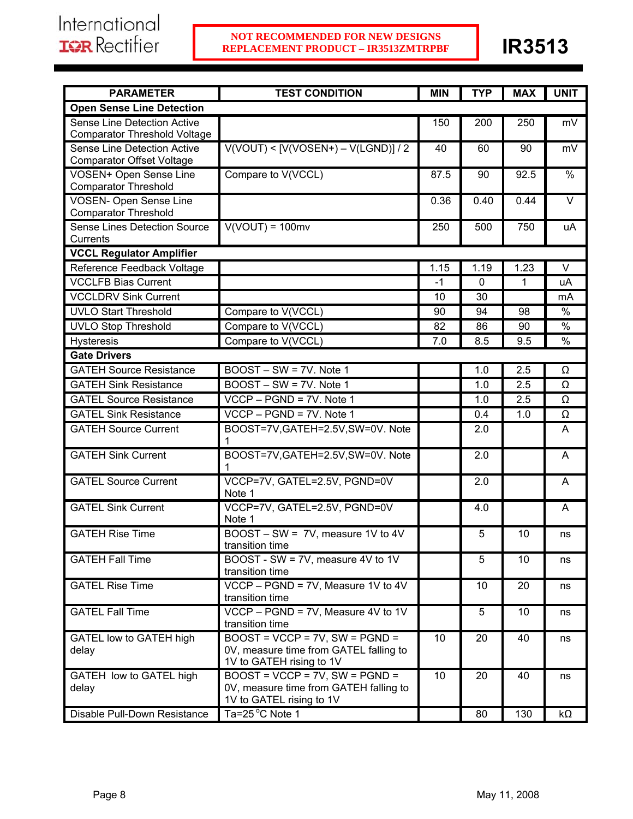| <b>PARAMETER</b>                                                | <b>TEST CONDITION</b>                                                                                     | <b>MIN</b> | <b>TYP</b> | <b>MAX</b> | <b>UNIT</b>   |
|-----------------------------------------------------------------|-----------------------------------------------------------------------------------------------------------|------------|------------|------------|---------------|
| <b>Open Sense Line Detection</b>                                |                                                                                                           |            |            |            |               |
| Sense Line Detection Active                                     |                                                                                                           | 150        | 200        | 250        | mV            |
| <b>Comparator Threshold Voltage</b>                             |                                                                                                           |            |            |            |               |
| Sense Line Detection Active<br><b>Comparator Offset Voltage</b> | $V(VOUT)$ < $[V(VOSEN+) - V(LGND)]$ / 2                                                                   | 40         | 60         | 90         | mV            |
| <b>VOSEN+ Open Sense Line</b><br><b>Comparator Threshold</b>    | Compare to V(VCCL)                                                                                        | 87.5       | 90         | 92.5       | %             |
| <b>VOSEN- Open Sense Line</b><br><b>Comparator Threshold</b>    |                                                                                                           | 0.36       | 0.40       | 0.44       | $\vee$        |
| <b>Sense Lines Detection Source</b>                             | $V(VOUT) = 100mv$                                                                                         | 250        | 500        | 750        | uA            |
| Currents<br><b>VCCL Regulator Amplifier</b>                     |                                                                                                           |            |            |            |               |
| Reference Feedback Voltage                                      |                                                                                                           | 1.15       | 1.19       | 1.23       | V             |
| <b>VCCLFB Bias Current</b>                                      |                                                                                                           | $-1$       | $\Omega$   | 1          | uA            |
| <b>VCCLDRV Sink Current</b>                                     |                                                                                                           |            |            |            |               |
|                                                                 |                                                                                                           | 10         | 30         |            | mA            |
| <b>UVLO Start Threshold</b>                                     | Compare to V(VCCL)                                                                                        | 90         | 94         | 98         | $\%$          |
| <b>UVLO Stop Threshold</b>                                      | Compare to V(VCCL)                                                                                        | 82         | 86         | 90         | $\frac{0}{0}$ |
| <b>Hysteresis</b>                                               | Compare to V(VCCL)                                                                                        | 7.0        | 8.5        | 9.5        | %             |
| <b>Gate Drivers</b>                                             |                                                                                                           |            |            |            |               |
| <b>GATEH Source Resistance</b>                                  | BOOST - SW = 7V. Note 1                                                                                   |            | 1.0        | 2.5        | Ω             |
| <b>GATEH Sink Resistance</b>                                    | BOOST - SW = 7V. Note 1                                                                                   |            | 1.0        | 2.5        | Ω             |
| <b>GATEL Source Resistance</b>                                  | VCCP - PGND = 7V. Note 1                                                                                  |            | 1.0        | 2.5        | Ω             |
| <b>GATEL Sink Resistance</b>                                    | $VCCP - PGND = 7V$ . Note 1                                                                               |            | 0.4        | 1.0        | Ω             |
| <b>GATEH Source Current</b>                                     | BOOST=7V, GATEH=2.5V, SW=0V. Note                                                                         |            | 2.0        |            | A             |
| <b>GATEH Sink Current</b>                                       | BOOST=7V, GATEH=2.5V, SW=0V. Note<br>1                                                                    |            | 2.0        |            | A             |
| <b>GATEL Source Current</b>                                     | VCCP=7V, GATEL=2.5V, PGND=0V<br>Note 1                                                                    |            | 2.0        |            | A             |
| <b>GATEL Sink Current</b>                                       | VCCP=7V, GATEL=2.5V, PGND=0V<br>Note 1                                                                    |            | 4.0        |            | A             |
| <b>GATEH Rise Time</b>                                          | BOOST - SW = 7V, measure 1V to 4V<br>transition time                                                      |            | 5          | 10         | ns            |
| <b>GATEH Fall Time</b>                                          | BOOST - SW = 7V, measure 4V to 1V<br>transition time                                                      |            | 5          | 10         | ns            |
| <b>GATEL Rise Time</b>                                          | $VCCP - PGND = 7V$ , Measure 1V to 4V<br>transition time                                                  |            | 10         | 20         | ns            |
| <b>GATEL Fall Time</b>                                          | VCCP - PGND = 7V, Measure 4V to 1V<br>transition time                                                     |            | 5          | 10         | ns            |
| GATEL low to GATEH high<br>delay                                | $BOOST = VCCP = 7V$ , $SW = PGND =$<br>0V, measure time from GATEL falling to<br>1V to GATEH rising to 1V | 10         | 20         | 40         | ns            |
| GATEH low to GATEL high<br>delay                                | $BOOST = VCCP = 7V$ , SW = $PGND =$<br>0V, measure time from GATEH falling to<br>1V to GATEL rising to 1V | 10         | 20         | 40         | ns            |
| Disable Pull-Down Resistance                                    | Ta=25 °C Note 1                                                                                           |            | 80         | 130        | kΩ            |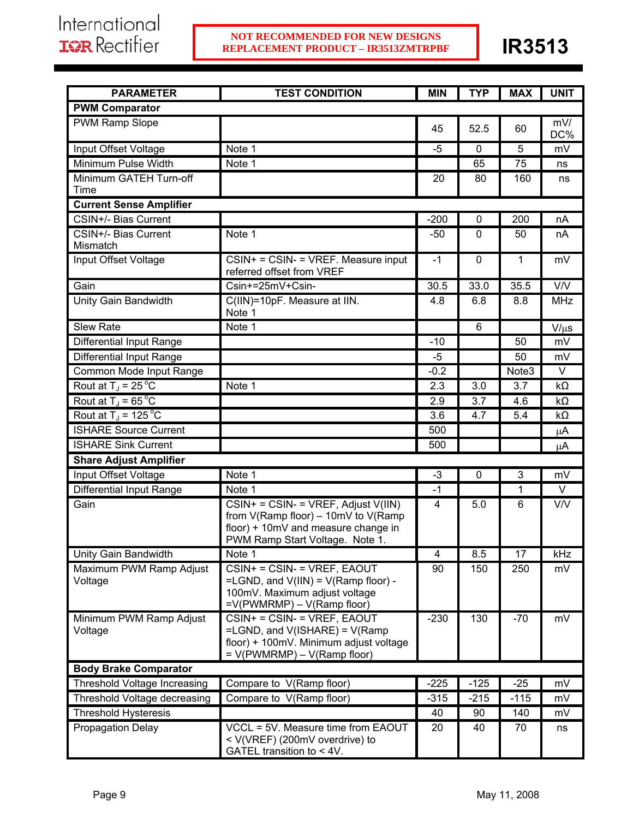| <b>PARAMETER</b>                   | <b>TEST CONDITION</b>                                                                                                                                     | <b>MIN</b> | <b>TYP</b>  | <b>MAX</b>        | <b>UNIT</b> |
|------------------------------------|-----------------------------------------------------------------------------------------------------------------------------------------------------------|------------|-------------|-------------------|-------------|
| <b>PWM Comparator</b>              |                                                                                                                                                           |            |             |                   |             |
| <b>PWM Ramp Slope</b>              |                                                                                                                                                           | 45         | 52.5        | 60                | mV/<br>DC%  |
| Input Offset Voltage               | Note 1                                                                                                                                                    | $-5$       | 0           | 5                 | mV          |
| Minimum Pulse Width                | Note 1                                                                                                                                                    |            | 65          | 75                | ns          |
| Minimum GATEH Turn-off<br>Time     |                                                                                                                                                           | 20         | 80          | 160               | ns          |
| <b>Current Sense Amplifier</b>     |                                                                                                                                                           |            |             |                   |             |
| CSIN+/- Bias Current               |                                                                                                                                                           | $-200$     | 0           | 200               | nA          |
| CSIN+/- Bias Current<br>Mismatch   | Note 1                                                                                                                                                    | $-50$      | 0           | 50                | пA          |
| Input Offset Voltage               | $CSIN + = CSIN - = VREF$ . Measure input<br>referred offset from VREF                                                                                     | $-1$       | 0           | 1                 | mV          |
| Gain                               | Csin+=25mV+Csin-                                                                                                                                          | 30.5       | 33.0        | 35.5              | <b>V/V</b>  |
| Unity Gain Bandwidth               | C(IIN)=10pF. Measure at IIN.<br>Note 1                                                                                                                    | 4.8        | 6.8         | 8.8               | <b>MHz</b>  |
| Slew Rate                          | Note 1                                                                                                                                                    |            | 6           |                   | $V/\mu s$   |
| Differential Input Range           |                                                                                                                                                           | $-10$      |             | 50                | mV          |
| <b>Differential Input Range</b>    |                                                                                                                                                           | -5         |             | 50                | mV          |
| Common Mode Input Range            |                                                                                                                                                           | $-0.2$     |             | Note <sub>3</sub> | V           |
| Rout at $T_J = 25^{\circ}C$        | Note 1                                                                                                                                                    | 2.3        | 3.0         | 3.7               | $k\Omega$   |
| Rout at $T_J = 65^{\circ}$ C       |                                                                                                                                                           | 2.9        | 3.7         | 4.6               | $k\Omega$   |
| Rout at $T_J$ = 125 °C             |                                                                                                                                                           | 3.6        | 4.7         | 5.4               | $k\Omega$   |
| <b>ISHARE Source Current</b>       |                                                                                                                                                           | 500        |             |                   | μA          |
| <b>ISHARE Sink Current</b>         |                                                                                                                                                           | 500        |             |                   | μA          |
| <b>Share Adjust Amplifier</b>      |                                                                                                                                                           |            |             |                   |             |
| Input Offset Voltage               | Note 1                                                                                                                                                    | $-3$       | $\mathbf 0$ | 3                 | mV          |
| <b>Differential Input Range</b>    | Note 1                                                                                                                                                    | $-1$       |             | 1                 | $\vee$      |
| Gain                               | $CSIN + = CSIN - = VREF$ , Adjust V(IIN)<br>from V(Ramp floor) - 10mV to V(Ramp<br>floor) + 10mV and measure change in<br>PWM Ramp Start Voltage. Note 1. | 4          | 5.0         | 6                 | V/V         |
| Unity Gain Bandwidth               | Note 1                                                                                                                                                    | 4          | 8.5         | 17                | kHz         |
| Maximum PWM Ramp Adjust<br>Voltage | CSIN+ = CSIN- = VREF, EAOUT<br>=LGND, and $V(III) = V(Ramp floor) -$<br>100mV. Maximum adjust voltage<br>$=V(PWMRMP) - V(Ramp floor)$                     | 90         | 150         | 250               | mV          |
| Minimum PWM Ramp Adjust<br>Voltage | CSIN+ = CSIN- = VREF, EAOUT<br>=LGND, and V(ISHARE) = V(Ramp<br>floor) + 100mV. Minimum adjust voltage<br>$= V(PWMRMP) - V(Ramp floor)$                   | $-230$     | 130         | $-70$             | mV          |
| <b>Body Brake Comparator</b>       |                                                                                                                                                           |            |             |                   |             |
| Threshold Voltage Increasing       | Compare to V(Ramp floor)                                                                                                                                  | $-225$     | $-125$      | $-25$             | mV          |
| Threshold Voltage decreasing       | Compare to V(Ramp floor)                                                                                                                                  | $-315$     | $-215$      | $-115$            | mV          |
| <b>Threshold Hysteresis</b>        |                                                                                                                                                           | 40         | 90          | 140               | mV          |
| <b>Propagation Delay</b>           | VCCL = 5V. Measure time from EAOUT<br>< V(VREF) (200mV overdrive) to<br>GATEL transition to < 4V.                                                         | 20         | 40          | 70                | ns          |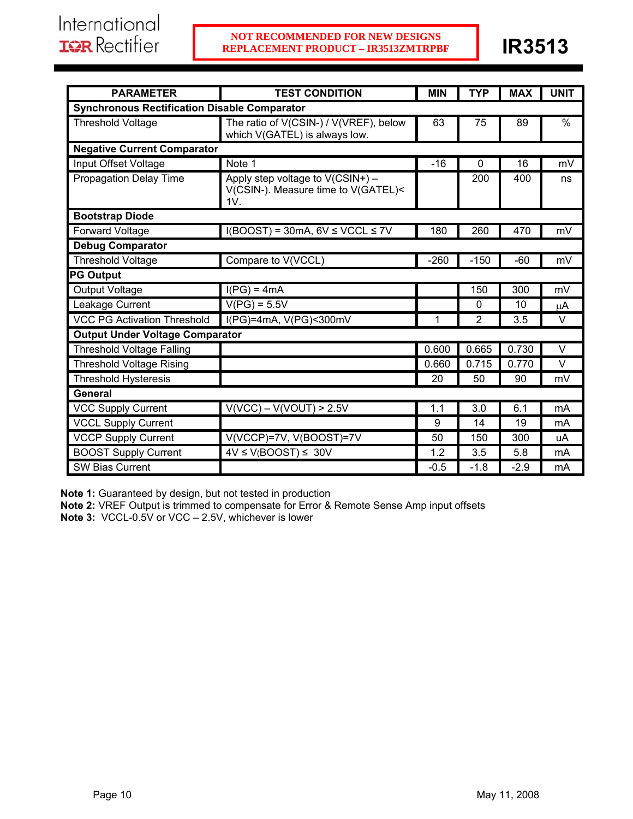| <b>PARAMETER</b>                                    | <b>TEST CONDITION</b>                                                          | <b>MIN</b> | <b>TYP</b>     | <b>MAX</b> | <b>UNIT</b>   |
|-----------------------------------------------------|--------------------------------------------------------------------------------|------------|----------------|------------|---------------|
| <b>Synchronous Rectification Disable Comparator</b> |                                                                                |            |                |            |               |
| <b>Threshold Voltage</b>                            | The ratio of V(CSIN-) / V(VREF), below<br>which V(GATEL) is always low.        | 63         | 75             | 89         | $\frac{0}{0}$ |
| <b>Negative Current Comparator</b>                  |                                                                                |            |                |            |               |
| Input Offset Voltage                                | Note 1                                                                         | $-16$      | $\mathbf{0}$   | 16         | mV            |
| Propagation Delay Time                              | Apply step voltage to V(CSIN+) -<br>V(CSIN-). Measure time to V(GATEL)<<br>1V. |            | 200            | 400        | ns            |
| <b>Bootstrap Diode</b>                              |                                                                                |            |                |            |               |
| Forward Voltage                                     | $I(BOOST) = 30mA, 6V \leq VCCL \leq 7V$                                        | 180        | 260            | 470        | mV            |
| <b>Debug Comparator</b>                             |                                                                                |            |                |            |               |
| <b>Threshold Voltage</b>                            | Compare to V(VCCL)                                                             | $-260$     | $-150$         | $-60$      | mV            |
| <b>PG Output</b>                                    |                                                                                |            |                |            |               |
| <b>Output Voltage</b>                               | $I(PG) = 4mA$                                                                  |            | 150            | 300        | mV            |
| Leakage Current                                     | $V(PG) = 5.5V$                                                                 |            | 0              | 10         | μA            |
| <b>VCC PG Activation Threshold</b>                  | $\overline{I(PG)}$ =4mA, V(PG)<300mV                                           | 1          | $\overline{2}$ | 3.5        | $\vee$        |
| <b>Output Under Voltage Comparator</b>              |                                                                                |            |                |            |               |
| <b>Threshold Voltage Falling</b>                    |                                                                                | 0.600      | 0.665          | 0.730      | $\vee$        |
| <b>Threshold Voltage Rising</b>                     |                                                                                | 0.660      | 0.715          | 0.770      | $\vee$        |
| <b>Threshold Hysteresis</b>                         |                                                                                | 20         | 50             | 90         | mV            |
| General                                             |                                                                                |            |                |            |               |
| <b>VCC Supply Current</b>                           | $V(VCC) - V(VOUT) > 2.5V$                                                      | 1.1        | 3.0            | 6.1        | mA            |
| <b>VCCL Supply Current</b>                          |                                                                                | 9          | 14             | 19         | mA            |
| <b>VCCP Supply Current</b>                          | V(VCCP)=7V, V(BOOST)=7V                                                        | 50         | 150            | 300        | uA            |
| <b>BOOST Supply Current</b>                         | $4V \le V(BOOST) \le 30V$                                                      | 1.2        | 3.5            | 5.8        | mA            |
| SW Bias Current                                     |                                                                                | $-0.5$     | $-1.8$         | $-2.9$     | mA            |

**Note 1:** Guaranteed by design, but not tested in production

**Note 2:** VREF Output is trimmed to compensate for Error & Remote Sense Amp input offsets

**Note 3:** VCCL-0.5V or VCC – 2.5V, whichever is lower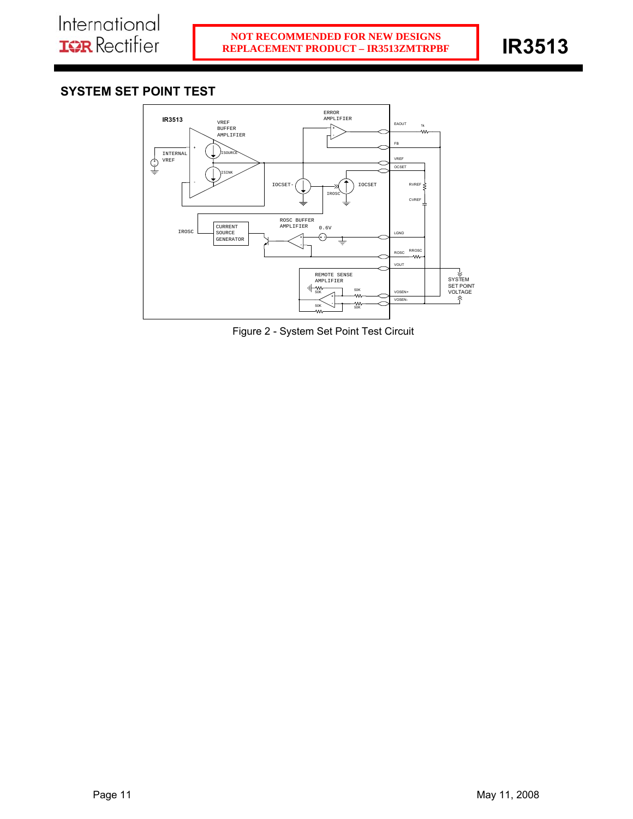# **SYSTEM SET POINT TEST**



Figure 2 - System Set Point Test Circuit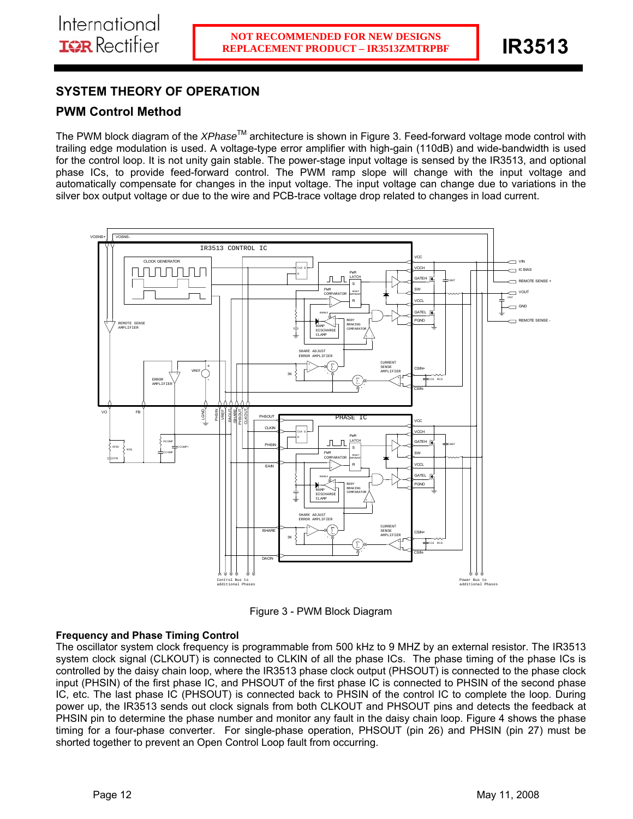# **SYSTEM THEORY OF OPERATION**

# **PWM Control Method**

The PWM block diagram of the *XPhase*TM architecture is shown in Figure 3. Feed-forward voltage mode control with trailing edge modulation is used. A voltage-type error amplifier with high-gain (110dB) and wide-bandwidth is used for the control loop. It is not unity gain stable. The power-stage input voltage is sensed by the IR3513, and optional phase ICs, to provide feed-forward control. The PWM ramp slope will change with the input voltage and automatically compensate for changes in the input voltage. The input voltage can change due to variations in the silver box output voltage or due to the wire and PCB-trace voltage drop related to changes in load current.



Figure 3 - PWM Block Diagram

## **Frequency and Phase Timing Control**

The oscillator system clock frequency is programmable from 500 kHz to 9 MHZ by an external resistor. The IR3513 system clock signal (CLKOUT) is connected to CLKIN of all the phase ICs. The phase timing of the phase ICs is controlled by the daisy chain loop, where the IR3513 phase clock output (PHSOUT) is connected to the phase clock input (PHSIN) of the first phase IC, and PHSOUT of the first phase IC is connected to PHSIN of the second phase IC, etc. The last phase IC (PHSOUT) is connected back to PHSIN of the control IC to complete the loop. During power up, the IR3513 sends out clock signals from both CLKOUT and PHSOUT pins and detects the feedback at PHSIN pin to determine the phase number and monitor any fault in the daisy chain loop. Figure 4 shows the phase timing for a four-phase converter. For single-phase operation, PHSOUT (pin 26) and PHSIN (pin 27) must be shorted together to prevent an Open Control Loop fault from occurring.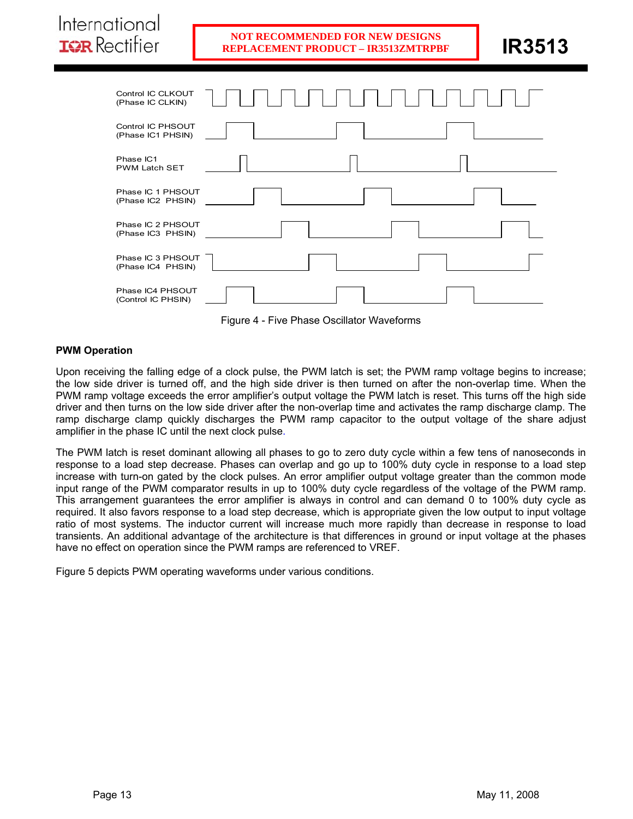| Control IC CLKOUT<br>(Phase IC CLKIN)  | 1 1 1 1 1 1 1 |  |
|----------------------------------------|---------------|--|
| Control IC PHSOUT<br>(Phase IC1 PHSIN) |               |  |
| Phase IC1                              |               |  |

| Phase IC1<br><b>PWM Latch SET</b> |  |  |
|-----------------------------------|--|--|
|                                   |  |  |
| Phase IC 1 PHSOUT                 |  |  |
| (Phase IC2 PHSIN)                 |  |  |
|                                   |  |  |
| Phase IC 2 PHSOUT                 |  |  |
| (Phase IC3 PHSIN)                 |  |  |
|                                   |  |  |
| Phase IC 3 PHSOUT                 |  |  |
| (Phase IC4 PHSIN)                 |  |  |
|                                   |  |  |
| Phase IC4 PHSOUT                  |  |  |
| (Control IC PHSIN)                |  |  |

Figure 4 - Five Phase Oscillator Waveforms

# **PWM Operation**

International

**IGR** Rectifier

Upon receiving the falling edge of a clock pulse, the PWM latch is set; the PWM ramp voltage begins to increase; the low side driver is turned off, and the high side driver is then turned on after the non-overlap time. When the PWM ramp voltage exceeds the error amplifier's output voltage the PWM latch is reset. This turns off the high side driver and then turns on the low side driver after the non-overlap time and activates the ramp discharge clamp. The ramp discharge clamp quickly discharges the PWM ramp capacitor to the output voltage of the share adjust amplifier in the phase IC until the next clock pulse.

The PWM latch is reset dominant allowing all phases to go to zero duty cycle within a few tens of nanoseconds in response to a load step decrease. Phases can overlap and go up to 100% duty cycle in response to a load step increase with turn-on gated by the clock pulses. An error amplifier output voltage greater than the common mode input range of the PWM comparator results in up to 100% duty cycle regardless of the voltage of the PWM ramp. This arrangement guarantees the error amplifier is always in control and can demand 0 to 100% duty cycle as required. It also favors response to a load step decrease, which is appropriate given the low output to input voltage ratio of most systems. The inductor current will increase much more rapidly than decrease in response to load transients. An additional advantage of the architecture is that differences in ground or input voltage at the phases have no effect on operation since the PWM ramps are referenced to VREF.

Figure 5 depicts PWM operating waveforms under various conditions.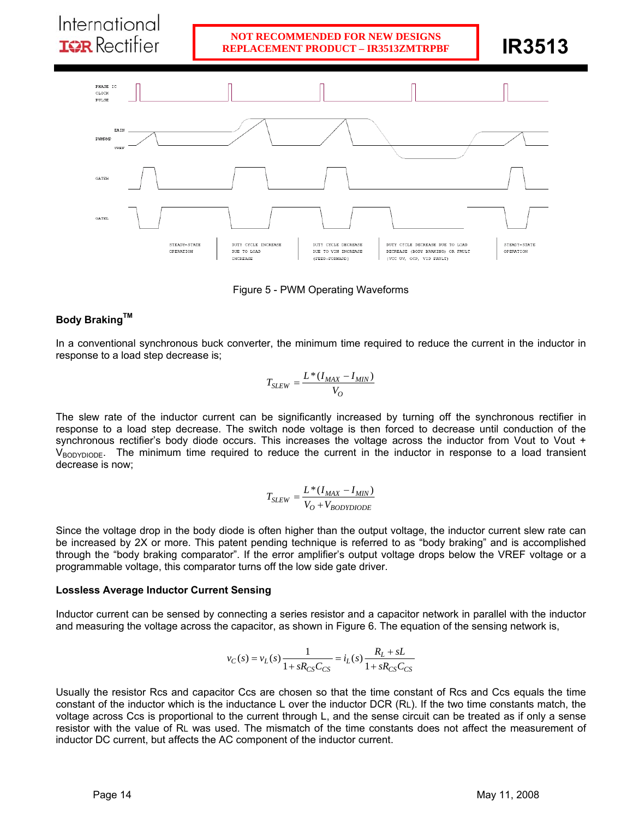

Figure 5 - PWM Operating Waveforms

# **Body Braking™**

In a conventional synchronous buck converter, the minimum time required to reduce the current in the inductor in response to a load step decrease is;

$$
T_{SLEW} = \frac{L*(I_{MAX} - I_{MIN})}{V_O}
$$

The slew rate of the inductor current can be significantly increased by turning off the synchronous rectifier in response to a load step decrease. The switch node voltage is then forced to decrease until conduction of the synchronous rectifier's body diode occurs. This increases the voltage across the inductor from Vout to Vout +  $V_{\rm BODYDIODE}$ . The minimum time required to reduce the current in the inductor in response to a load transient decrease is now;

$$
T_{SLEW} = \frac{L*(I_{MAX} - I_{MIN})}{V_O + V_{BODYDIODE}}
$$

Since the voltage drop in the body diode is often higher than the output voltage, the inductor current slew rate can be increased by 2X or more. This patent pending technique is referred to as "body braking" and is accomplished through the "body braking comparator". If the error amplifier's output voltage drops below the VREF voltage or a programmable voltage, this comparator turns off the low side gate driver.

# **Lossless Average Inductor Current Sensing**

Inductor current can be sensed by connecting a series resistor and a capacitor network in parallel with the inductor and measuring the voltage across the capacitor, as shown in Figure 6. The equation of the sensing network is,

$$
v_C(s) = v_L(s) \frac{1}{1 + sR_{CS}C_{CS}} = i_L(s) \frac{R_L + sL}{1 + sR_{CS}C_{CS}}
$$

Usually the resistor Rcs and capacitor Ccs are chosen so that the time constant of Rcs and Ccs equals the time constant of the inductor which is the inductance L over the inductor DCR (RL). If the two time constants match, the voltage across Ccs is proportional to the current through L, and the sense circuit can be treated as if only a sense resistor with the value of RL was used. The mismatch of the time constants does not affect the measurement of inductor DC current, but affects the AC component of the inductor current.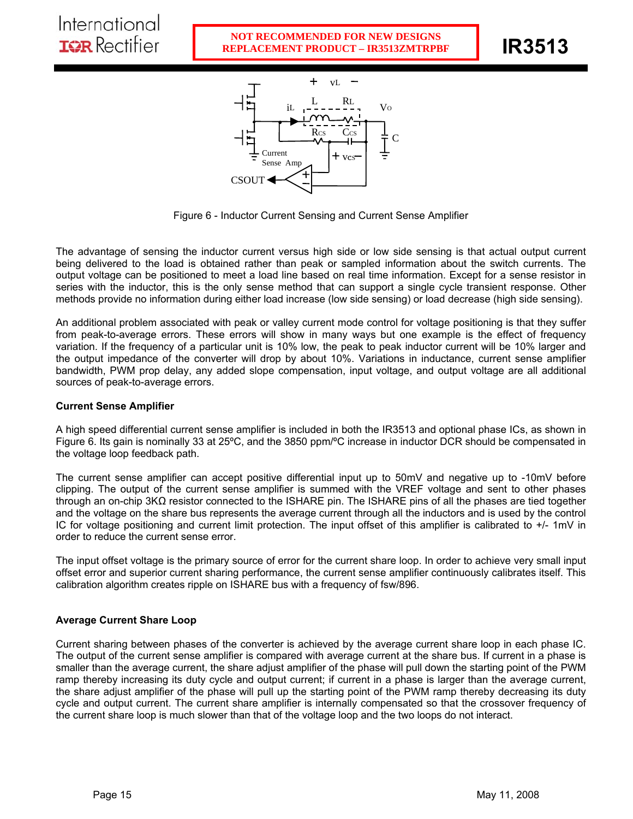

Figure 6 - Inductor Current Sensing and Current Sense Amplifier

The advantage of sensing the inductor current versus high side or low side sensing is that actual output current being delivered to the load is obtained rather than peak or sampled information about the switch currents. The output voltage can be positioned to meet a load line based on real time information. Except for a sense resistor in series with the inductor, this is the only sense method that can support a single cycle transient response. Other methods provide no information during either load increase (low side sensing) or load decrease (high side sensing).

An additional problem associated with peak or valley current mode control for voltage positioning is that they suffer from peak-to-average errors. These errors will show in many ways but one example is the effect of frequency variation. If the frequency of a particular unit is 10% low, the peak to peak inductor current will be 10% larger and the output impedance of the converter will drop by about 10%. Variations in inductance, current sense amplifier bandwidth, PWM prop delay, any added slope compensation, input voltage, and output voltage are all additional sources of peak-to-average errors.

# **Current Sense Amplifier**

A high speed differential current sense amplifier is included in both the IR3513 and optional phase ICs, as shown in Figure 6. Its gain is nominally 33 at 25ºC, and the 3850 ppm/ºC increase in inductor DCR should be compensated in the voltage loop feedback path.

The current sense amplifier can accept positive differential input up to 50mV and negative up to -10mV before clipping. The output of the current sense amplifier is summed with the VREF voltage and sent to other phases through an on-chip 3KΩ resistor connected to the ISHARE pin. The ISHARE pins of all the phases are tied together and the voltage on the share bus represents the average current through all the inductors and is used by the control IC for voltage positioning and current limit protection. The input offset of this amplifier is calibrated to +/- 1mV in order to reduce the current sense error.

The input offset voltage is the primary source of error for the current share loop. In order to achieve very small input offset error and superior current sharing performance, the current sense amplifier continuously calibrates itself. This calibration algorithm creates ripple on ISHARE bus with a frequency of fsw/896.

## **Average Current Share Loop**

Current sharing between phases of the converter is achieved by the average current share loop in each phase IC. The output of the current sense amplifier is compared with average current at the share bus. If current in a phase is smaller than the average current, the share adjust amplifier of the phase will pull down the starting point of the PWM ramp thereby increasing its duty cycle and output current; if current in a phase is larger than the average current, the share adjust amplifier of the phase will pull up the starting point of the PWM ramp thereby decreasing its duty cycle and output current. The current share amplifier is internally compensated so that the crossover frequency of the current share loop is much slower than that of the voltage loop and the two loops do not interact.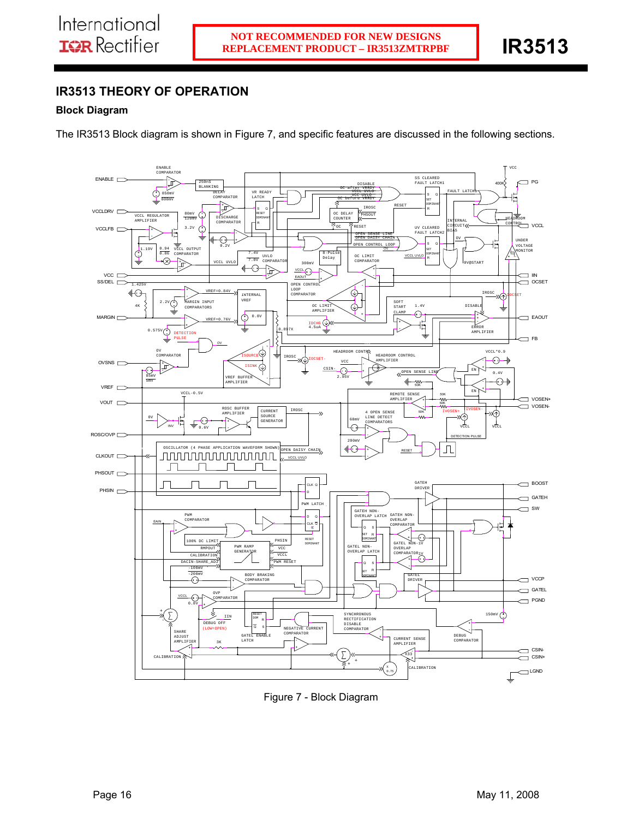ı

# **IR3513 THEORY OF OPERATION**

# **Block Diagram**

The IR3513 Block diagram is shown in Figure 7, and specific features are discussed in the following sections.



Figure 7 - Block Diagram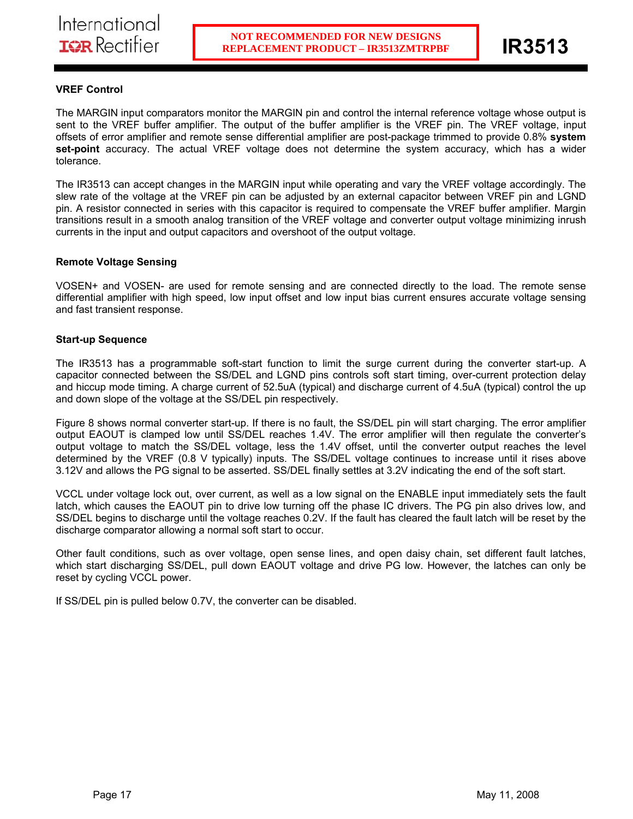# **VREF Control**

The MARGIN input comparators monitor the MARGIN pin and control the internal reference voltage whose output is sent to the VREF buffer amplifier. The output of the buffer amplifier is the VREF pin. The VREF voltage, input offsets of error amplifier and remote sense differential amplifier are post-package trimmed to provide 0.8% **system set-point** accuracy. The actual VREF voltage does not determine the system accuracy, which has a wider tolerance.

ı

The IR3513 can accept changes in the MARGIN input while operating and vary the VREF voltage accordingly. The slew rate of the voltage at the VREF pin can be adjusted by an external capacitor between VREF pin and LGND pin. A resistor connected in series with this capacitor is required to compensate the VREF buffer amplifier. Margin transitions result in a smooth analog transition of the VREF voltage and converter output voltage minimizing inrush currents in the input and output capacitors and overshoot of the output voltage.

# **Remote Voltage Sensing**

VOSEN+ and VOSEN- are used for remote sensing and are connected directly to the load. The remote sense differential amplifier with high speed, low input offset and low input bias current ensures accurate voltage sensing and fast transient response.

## **Start-up Sequence**

The IR3513 has a programmable soft-start function to limit the surge current during the converter start-up. A capacitor connected between the SS/DEL and LGND pins controls soft start timing, over-current protection delay and hiccup mode timing. A charge current of 52.5uA (typical) and discharge current of 4.5uA (typical) control the up and down slope of the voltage at the SS/DEL pin respectively.

Figure 8 shows normal converter start-up. If there is no fault, the SS/DEL pin will start charging. The error amplifier output EAOUT is clamped low until SS/DEL reaches 1.4V. The error amplifier will then regulate the converter's output voltage to match the SS/DEL voltage, less the 1.4V offset, until the converter output reaches the level determined by the VREF (0.8 V typically) inputs. The SS/DEL voltage continues to increase until it rises above 3.12V and allows the PG signal to be asserted. SS/DEL finally settles at 3.2V indicating the end of the soft start.

VCCL under voltage lock out, over current, as well as a low signal on the ENABLE input immediately sets the fault latch, which causes the EAOUT pin to drive low turning off the phase IC drivers. The PG pin also drives low, and SS/DEL begins to discharge until the voltage reaches 0.2V. If the fault has cleared the fault latch will be reset by the discharge comparator allowing a normal soft start to occur.

Other fault conditions, such as over voltage, open sense lines, and open daisy chain, set different fault latches, which start discharging SS/DEL, pull down EAOUT voltage and drive PG low. However, the latches can only be reset by cycling VCCL power.

If SS/DEL pin is pulled below 0.7V, the converter can be disabled.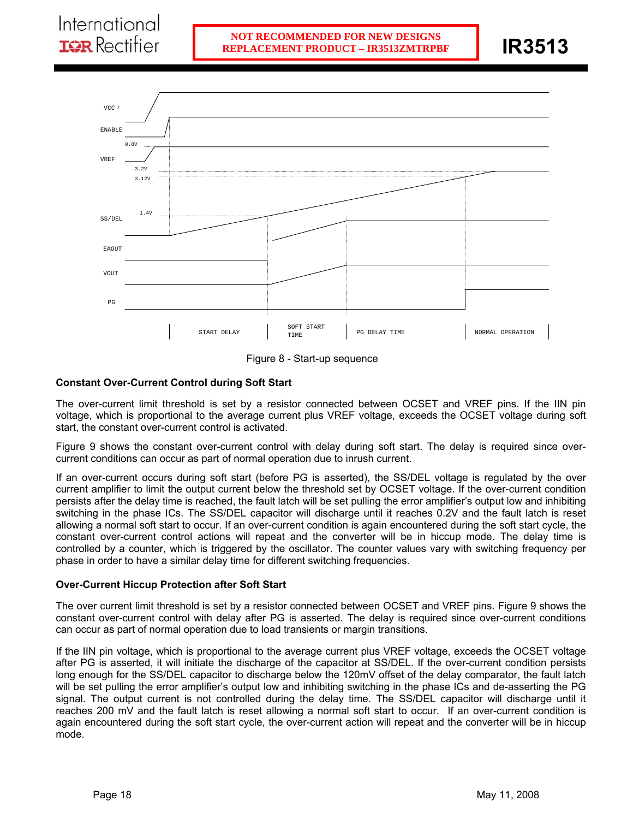ı



Figure 8 - Start-up sequence

# **Constant Over-Current Control during Soft Start**

The over-current limit threshold is set by a resistor connected between OCSET and VREF pins. If the IIN pin voltage, which is proportional to the average current plus VREF voltage, exceeds the OCSET voltage during soft start, the constant over-current control is activated.

Figure 9 shows the constant over-current control with delay during soft start. The delay is required since overcurrent conditions can occur as part of normal operation due to inrush current.

If an over-current occurs during soft start (before PG is asserted), the SS/DEL voltage is regulated by the over current amplifier to limit the output current below the threshold set by OCSET voltage. If the over-current condition persists after the delay time is reached, the fault latch will be set pulling the error amplifier's output low and inhibiting switching in the phase ICs. The SS/DEL capacitor will discharge until it reaches 0.2V and the fault latch is reset allowing a normal soft start to occur. If an over-current condition is again encountered during the soft start cycle, the constant over-current control actions will repeat and the converter will be in hiccup mode. The delay time is controlled by a counter, which is triggered by the oscillator. The counter values vary with switching frequency per phase in order to have a similar delay time for different switching frequencies.

## **Over-Current Hiccup Protection after Soft Start**

The over current limit threshold is set by a resistor connected between OCSET and VREF pins. Figure 9 shows the constant over-current control with delay after PG is asserted. The delay is required since over-current conditions can occur as part of normal operation due to load transients or margin transitions.

If the IIN pin voltage, which is proportional to the average current plus VREF voltage, exceeds the OCSET voltage after PG is asserted, it will initiate the discharge of the capacitor at SS/DEL. If the over-current condition persists long enough for the SS/DEL capacitor to discharge below the 120mV offset of the delay comparator, the fault latch will be set pulling the error amplifier's output low and inhibiting switching in the phase ICs and de-asserting the PG signal. The output current is not controlled during the delay time. The SS/DEL capacitor will discharge until it reaches 200 mV and the fault latch is reset allowing a normal soft start to occur. If an over-current condition is again encountered during the soft start cycle, the over-current action will repeat and the converter will be in hiccup mode.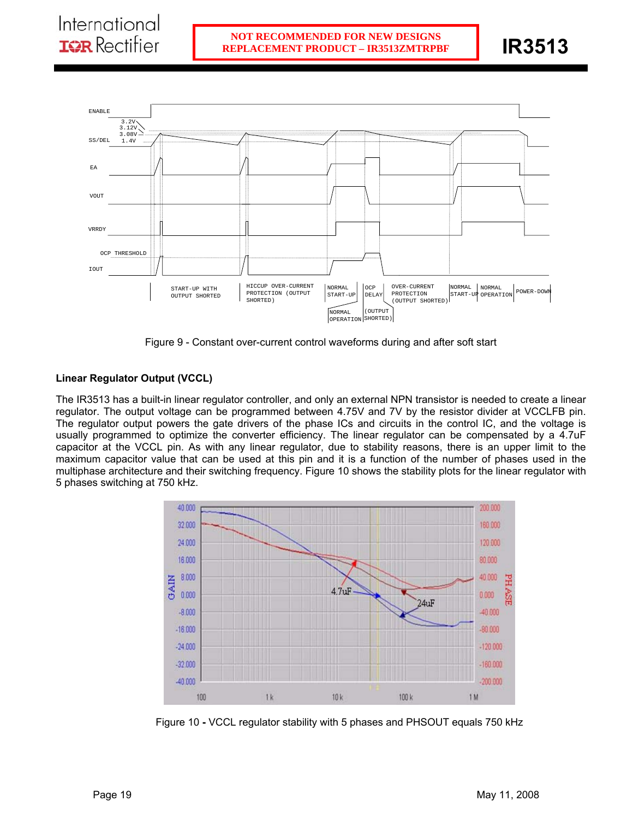

Figure 9 - Constant over-current control waveforms during and after soft start

# **Linear Regulator Output (VCCL)**

The IR3513 has a built-in linear regulator controller, and only an external NPN transistor is needed to create a linear regulator. The output voltage can be programmed between 4.75V and 7V by the resistor divider at VCCLFB pin. The regulator output powers the gate drivers of the phase ICs and circuits in the control IC, and the voltage is usually programmed to optimize the converter efficiency. The linear regulator can be compensated by a 4.7uF capacitor at the VCCL pin. As with any linear regulator, due to stability reasons, there is an upper limit to the maximum capacitor value that can be used at this pin and it is a function of the number of phases used in the multiphase architecture and their switching frequency. Figure 10 shows the stability plots for the linear regulator with 5 phases switching at 750 kHz.



Figure 10 **-** VCCL regulator stability with 5 phases and PHSOUT equals 750 kHz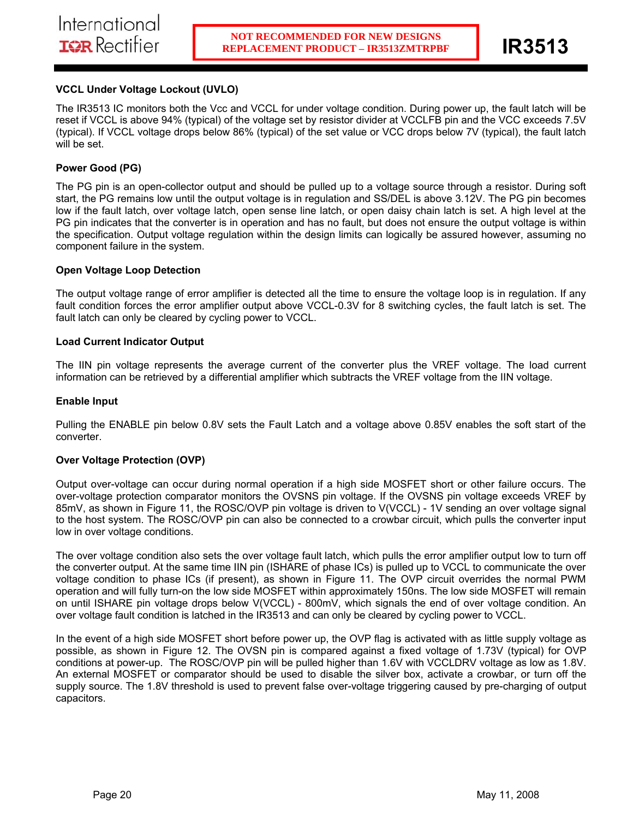# **VCCL Under Voltage Lockout (UVLO)**

The IR3513 IC monitors both the Vcc and VCCL for under voltage condition. During power up, the fault latch will be reset if VCCL is above 94% (typical) of the voltage set by resistor divider at VCCLFB pin and the VCC exceeds 7.5V (typical). If VCCL voltage drops below 86% (typical) of the set value or VCC drops below 7V (typical), the fault latch will be set.

# **Power Good (PG)**

The PG pin is an open-collector output and should be pulled up to a voltage source through a resistor. During soft start, the PG remains low until the output voltage is in regulation and SS/DEL is above 3.12V. The PG pin becomes low if the fault latch, over voltage latch, open sense line latch, or open daisy chain latch is set. A high level at the PG pin indicates that the converter is in operation and has no fault, but does not ensure the output voltage is within the specification. Output voltage regulation within the design limits can logically be assured however, assuming no component failure in the system.

### **Open Voltage Loop Detection**

The output voltage range of error amplifier is detected all the time to ensure the voltage loop is in regulation. If any fault condition forces the error amplifier output above VCCL-0.3V for 8 switching cycles, the fault latch is set. The fault latch can only be cleared by cycling power to VCCL.

### **Load Current Indicator Output**

The IIN pin voltage represents the average current of the converter plus the VREF voltage. The load current information can be retrieved by a differential amplifier which subtracts the VREF voltage from the IIN voltage.

### **Enable Input**

Pulling the ENABLE pin below 0.8V sets the Fault Latch and a voltage above 0.85V enables the soft start of the converter.

## **Over Voltage Protection (OVP)**

Output over-voltage can occur during normal operation if a high side MOSFET short or other failure occurs. The over-voltage protection comparator monitors the OVSNS pin voltage. If the OVSNS pin voltage exceeds VREF by 85mV, as shown in Figure 11, the ROSC/OVP pin voltage is driven to V(VCCL) - 1V sending an over voltage signal to the host system. The ROSC/OVP pin can also be connected to a crowbar circuit, which pulls the converter input low in over voltage conditions.

The over voltage condition also sets the over voltage fault latch, which pulls the error amplifier output low to turn off the converter output. At the same time IIN pin (ISHARE of phase ICs) is pulled up to VCCL to communicate the over voltage condition to phase ICs (if present), as shown in Figure 11. The OVP circuit overrides the normal PWM operation and will fully turn-on the low side MOSFET within approximately 150ns. The low side MOSFET will remain on until ISHARE pin voltage drops below V(VCCL) - 800mV, which signals the end of over voltage condition. An over voltage fault condition is latched in the IR3513 and can only be cleared by cycling power to VCCL.

In the event of a high side MOSFET short before power up, the OVP flag is activated with as little supply voltage as possible, as shown in Figure 12. The OVSN pin is compared against a fixed voltage of 1.73V (typical) for OVP conditions at power-up. The ROSC/OVP pin will be pulled higher than 1.6V with VCCLDRV voltage as low as 1.8V. An external MOSFET or comparator should be used to disable the silver box, activate a crowbar, or turn off the supply source. The 1.8V threshold is used to prevent false over-voltage triggering caused by pre-charging of output capacitors.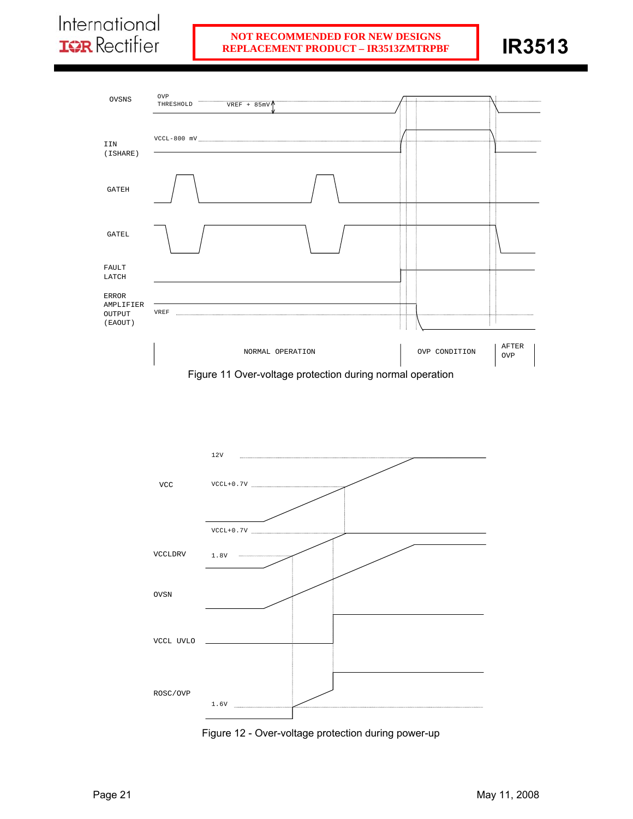# International **IQR** Rectifier

# **REPLACEMENT PRODUCT – IR3513ZMTRPBF RIPLACEMENT PRODUCT – IR3513ZMTRPBF NOT RECOMMENDED FOR NEW DESIGNS**







Figure 12 - Over-voltage protection during power-up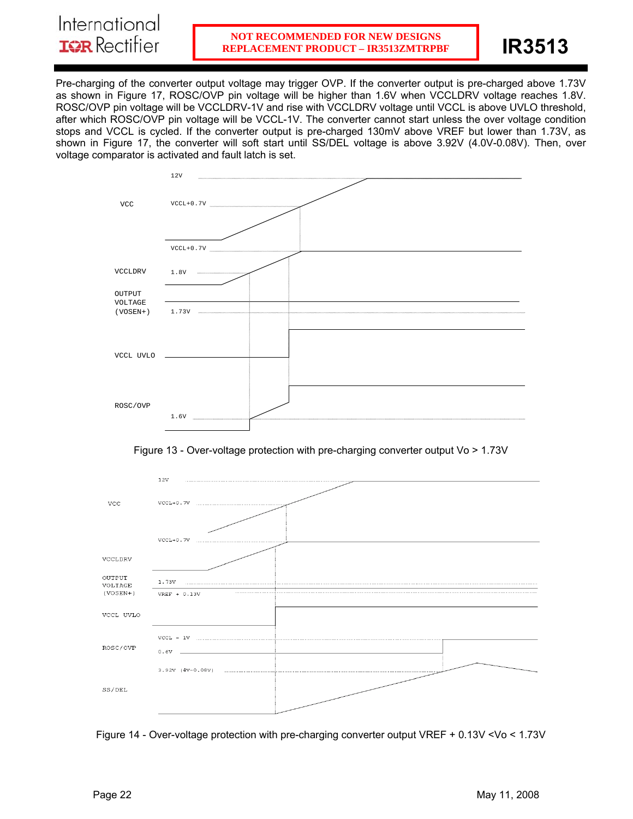Pre-charging of the converter output voltage may trigger OVP. If the converter output is pre-charged above 1.73V as shown in Figure 17, ROSC/OVP pin voltage will be higher than 1.6V when VCCLDRV voltage reaches 1.8V. ROSC/OVP pin voltage will be VCCLDRV-1V and rise with VCCLDRV voltage until VCCL is above UVLO threshold, after which ROSC/OVP pin voltage will be VCCL-1V. The converter cannot start unless the over voltage condition stops and VCCL is cycled. If the converter output is pre-charged 130mV above VREF but lower than 1.73V, as shown in Figure 17, the converter will soft start until SS/DEL voltage is above 3.92V (4.0V-0.08V). Then, over voltage comparator is activated and fault latch is set.







Figure 14 - Over-voltage protection with pre-charging converter output VREF + 0.13V <Vo < 1.73V

International **IGR** Rectifier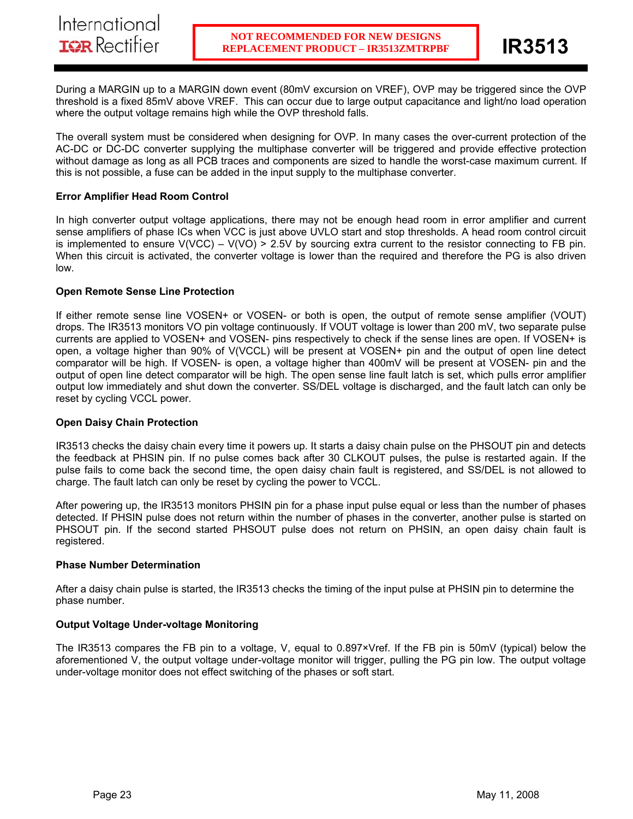During a MARGIN up to a MARGIN down event (80mV excursion on VREF), OVP may be triggered since the OVP threshold is a fixed 85mV above VREF. This can occur due to large output capacitance and light/no load operation where the output voltage remains high while the OVP threshold falls.

ı

The overall system must be considered when designing for OVP. In many cases the over-current protection of the AC-DC or DC-DC converter supplying the multiphase converter will be triggered and provide effective protection without damage as long as all PCB traces and components are sized to handle the worst-case maximum current. If this is not possible, a fuse can be added in the input supply to the multiphase converter.

# **Error Amplifier Head Room Control**

In high converter output voltage applications, there may not be enough head room in error amplifier and current sense amplifiers of phase ICs when VCC is just above UVLO start and stop thresholds. A head room control circuit is implemented to ensure  $V(VCC) - V(VO) > 2.5V$  by sourcing extra current to the resistor connecting to FB pin. When this circuit is activated, the converter voltage is lower than the required and therefore the PG is also driven low.

## **Open Remote Sense Line Protection**

If either remote sense line VOSEN+ or VOSEN- or both is open, the output of remote sense amplifier (VOUT) drops. The IR3513 monitors VO pin voltage continuously. If VOUT voltage is lower than 200 mV, two separate pulse currents are applied to VOSEN+ and VOSEN- pins respectively to check if the sense lines are open. If VOSEN+ is open, a voltage higher than 90% of V(VCCL) will be present at VOSEN+ pin and the output of open line detect comparator will be high. If VOSEN- is open, a voltage higher than 400mV will be present at VOSEN- pin and the output of open line detect comparator will be high. The open sense line fault latch is set, which pulls error amplifier output low immediately and shut down the converter. SS/DEL voltage is discharged, and the fault latch can only be reset by cycling VCCL power.

## **Open Daisy Chain Protection**

IR3513 checks the daisy chain every time it powers up. It starts a daisy chain pulse on the PHSOUT pin and detects the feedback at PHSIN pin. If no pulse comes back after 30 CLKOUT pulses, the pulse is restarted again. If the pulse fails to come back the second time, the open daisy chain fault is registered, and SS/DEL is not allowed to charge. The fault latch can only be reset by cycling the power to VCCL.

After powering up, the IR3513 monitors PHSIN pin for a phase input pulse equal or less than the number of phases detected. If PHSIN pulse does not return within the number of phases in the converter, another pulse is started on PHSOUT pin. If the second started PHSOUT pulse does not return on PHSIN, an open daisy chain fault is registered.

## **Phase Number Determination**

After a daisy chain pulse is started, the IR3513 checks the timing of the input pulse at PHSIN pin to determine the phase number.

## **Output Voltage Under-voltage Monitoring**

The IR3513 compares the FB pin to a voltage, V, equal to 0.897×Vref. If the FB pin is 50mV (typical) below the aforementioned V, the output voltage under-voltage monitor will trigger, pulling the PG pin low. The output voltage under-voltage monitor does not effect switching of the phases or soft start.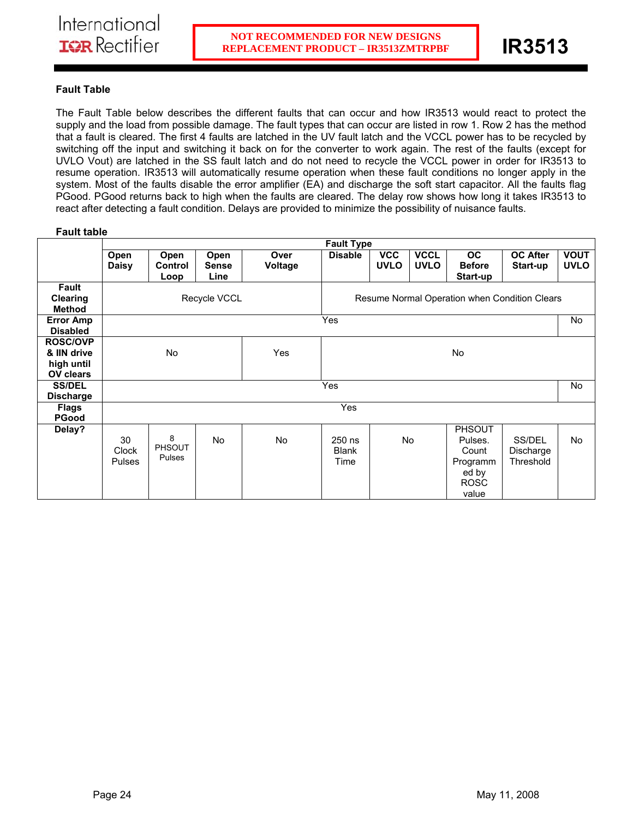ı

# **Fault Table**

The Fault Table below describes the different faults that can occur and how IR3513 would react to protect the supply and the load from possible damage. The fault types that can occur are listed in row 1. Row 2 has the method that a fault is cleared. The first 4 faults are latched in the UV fault latch and the VCCL power has to be recycled by switching off the input and switching it back on for the converter to work again. The rest of the faults (except for UVLO Vout) are latched in the SS fault latch and do not need to recycle the VCCL power in order for IR3513 to resume operation. IR3513 will automatically resume operation when these fault conditions no longer apply in the system. Most of the faults disable the error amplifier (EA) and discharge the soft start capacitor. All the faults flag PGood. PGood returns back to high when the faults are cleared. The delay row shows how long it takes IR3513 to react after detecting a fault condition. Delays are provided to minimize the possibility of nuisance faults.

# **Fault table**

|                                                                  | <b>Fault Type</b>            |                                               |                       |                 |                                |                                 |                            |                                                                                |                                  |                            |
|------------------------------------------------------------------|------------------------------|-----------------------------------------------|-----------------------|-----------------|--------------------------------|---------------------------------|----------------------------|--------------------------------------------------------------------------------|----------------------------------|----------------------------|
|                                                                  | Open<br><b>Daisy</b>         | Open<br>Control<br>Loop                       | Open<br>Sense<br>Line | Over<br>Voltage | <b>Disable</b>                 | $\overline{VCC}$<br><b>UVLO</b> | <b>VCCL</b><br><b>UVLO</b> | <b>OC</b><br><b>Before</b><br>Start-up                                         | <b>OC After</b><br>Start-up      | <b>VOUT</b><br><b>UVLO</b> |
| Fault<br><b>Clearing</b><br><b>Method</b>                        |                              | Resume Normal Operation when Condition Clears |                       |                 |                                |                                 |                            |                                                                                |                                  |                            |
| <b>Error Amp</b><br><b>Disabled</b>                              | Yes                          |                                               |                       |                 |                                |                                 |                            |                                                                                | No                               |                            |
| <b>ROSC/OVP</b><br>& IIN drive<br>high until<br><b>OV clears</b> | No                           |                                               |                       | Yes             | <b>No</b>                      |                                 |                            |                                                                                |                                  |                            |
| <b>SS/DEL</b><br><b>Discharge</b>                                | Yes                          |                                               |                       |                 |                                |                                 |                            |                                                                                | No                               |                            |
| <b>Flags</b><br><b>PGood</b>                                     | <b>Yes</b>                   |                                               |                       |                 |                                |                                 |                            |                                                                                |                                  |                            |
| Delay?                                                           | 30<br>Clock<br><b>Pulses</b> | 8<br><b>PHSOUT</b><br>Pulses                  | <b>No</b>             | No              | 250 ns<br><b>Blank</b><br>Time |                                 | No                         | <b>PHSOUT</b><br>Pulses.<br>Count<br>Programm<br>ed by<br><b>ROSC</b><br>value | SS/DEL<br>Discharge<br>Threshold | No                         |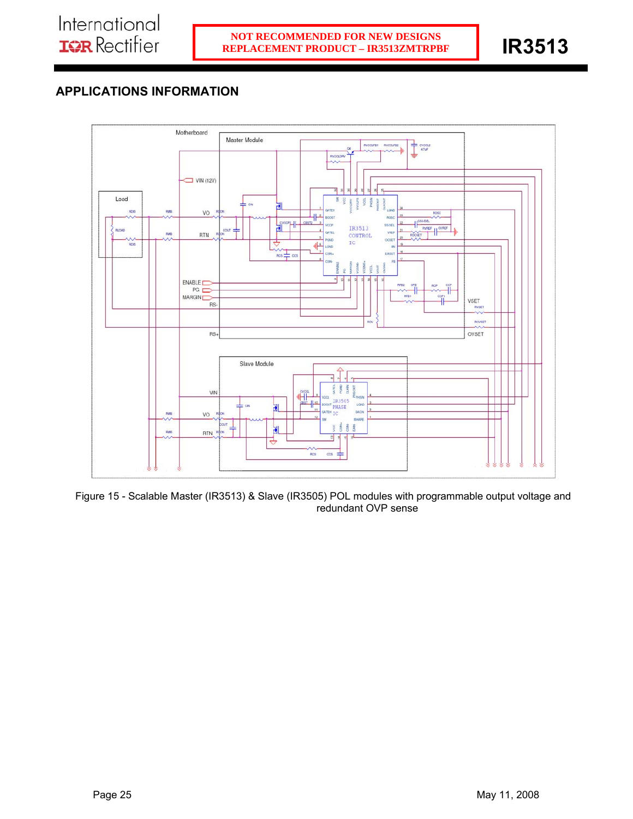# **APPLICATIONS INFORMATION**



Figure 15 - Scalable Master (IR3513) & Slave (IR3505) POL modules with programmable output voltage and redundant OVP sense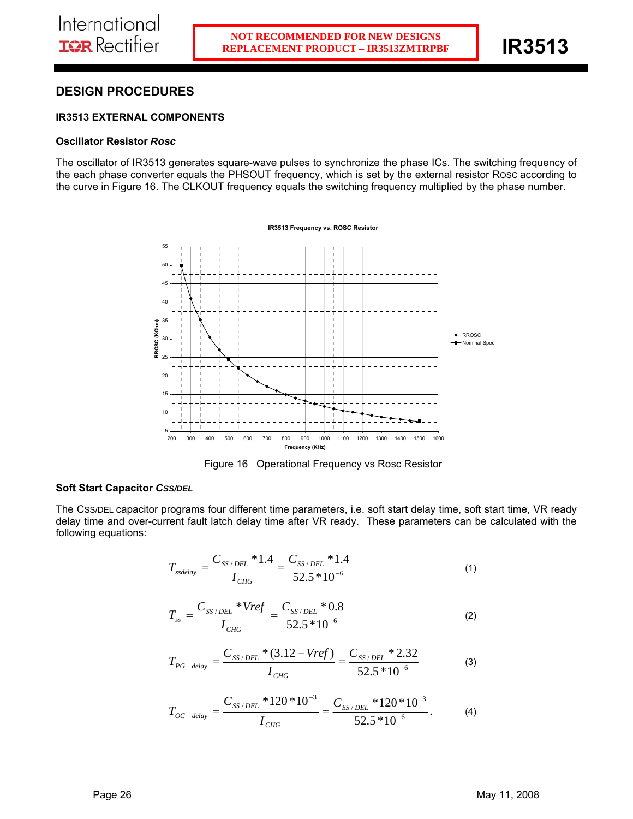# **DESIGN PROCEDURES**

# **IR3513 EXTERNAL COMPONENTS**

### **Oscillator Resistor** *Rosc*

The oscillator of IR3513 generates square-wave pulses to synchronize the phase ICs. The switching frequency of the each phase converter equals the PHSOUT frequency, which is set by the external resistor ROSC according to the curve in Figure 16. The CLKOUT frequency equals the switching frequency multiplied by the phase number.



Figure 16 Operational Frequency vs Rosc Resistor

## **Soft Start Capacitor** *CSS/DEL*

The CSS/DEL capacitor programs four different time parameters, i.e. soft start delay time, soft start time, VR ready delay time and over-current fault latch delay time after VR ready. These parameters can be calculated with the following equations:

$$
T_{\text{ssdelay}} = \frac{C_{\text{SS}/\text{DEL}} \cdot 1.4}{I_{\text{CHG}}} = \frac{C_{\text{SS}/\text{DEL}} \cdot 1.4}{52.5 \cdot 10^{-6}}
$$
(1)

$$
T_{ss} = \frac{C_{SS/DEL} * Vref}{I_{CHG}} = \frac{C_{SS/DEL} * 0.8}{52.5 * 10^{-6}}
$$
 (2)

$$
T_{PG\_delay} = \frac{C_{SS/DEL} * (3.12 - Vref)}{I_{CHG}} = \frac{C_{SS/DEL} * 2.32}{52.5 * 10^{-6}}
$$
(3)

$$
T_{OC\_delay} = \frac{C_{SS/DEL} * 120 * 10^{-3}}{I_{CHG}} = \frac{C_{SS/DEL} * 120 * 10^{-3}}{52.5 * 10^{-6}}.
$$
 (4)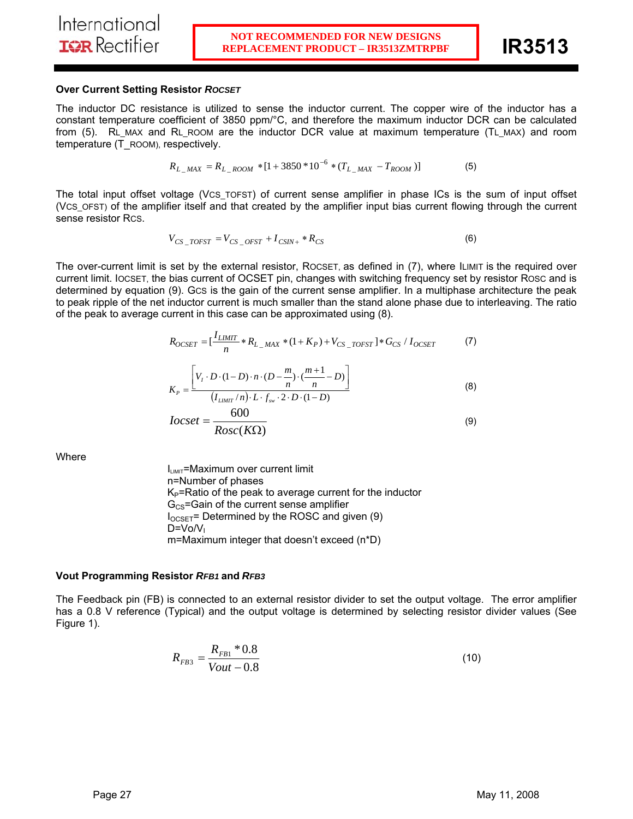### **Over Current Setting Resistor** *ROCSET*

The inductor DC resistance is utilized to sense the inductor current. The copper wire of the inductor has a constant temperature coefficient of 3850 ppm/°C, and therefore the maximum inductor DCR can be calculated from (5). RL\_MAX and RL\_ROOM are the inductor DCR\_value at maximum temperature (TL\_MAX) and room temperature (T\_ROOM), respectively.

$$
R_{L\_MAX} = R_{L\_ROM} * [1 + 3850 * 10^{-6} * (T_{L\_MAX} - T_{ROM})]
$$
(5)

The total input offset voltage (VCS\_TOFST) of current sense amplifier in phase ICs is the sum of input offset (VCS\_OFST) of the amplifier itself and that created by the amplifier input bias current flowing through the current sense resistor RCS.

$$
V_{CS\_TOFST} = V_{CS\_OFST} + I_{CSIN+} * R_{CS}
$$
\n
$$
\tag{6}
$$

The over-current limit is set by the external resistor, ROCSET, as defined in (7), where ILIMIT is the required over current limit. IOCSET, the bias current of OCSET pin, changes with switching frequency set by resistor ROSC and is determined by equation (9). GCS is the gain of the current sense amplifier. In a multiphase architecture the peak to peak ripple of the net inductor current is much smaller than the stand alone phase due to interleaving. The ratio of the peak to average current in this case can be approximated using (8).

$$
R_{OCSET} = \left[\frac{I_{LIMIT}}{n} * R_{L_{MAX}} * (1 + K_P) + V_{CS_{TOST}}\right] * G_{CS} / I_{OCSET}
$$
 (7)

$$
K_{P} = \frac{\left[V_{I} \cdot D \cdot (1-D) \cdot n \cdot (D - \frac{m}{n}) \cdot (\frac{m+1}{n} - D)\right]}{(I_{LMMT}/n) \cdot L \cdot f_{sw} \cdot 2 \cdot D \cdot (1-D)}
$$
(8)

$$
Iocset = \frac{000}{Rosc(K\Omega)}\tag{9}
$$

**Where** 

 $I<sub>LIMIT</sub>$ =Maximum over current limit n=Number of phases  $K_P$ =Ratio of the peak to average current for the inductor  $G<sub>CS</sub>=Gain$  of the current sense amplifier  $I_{OCSET}$ = Determined by the ROSC and given (9)  $D=V_0/V_1$ m=Maximum integer that doesn't exceed (n\*D)

### **Vout Programming Resistor** *RFB1* **and** *RFB3*

The Feedback pin (FB) is connected to an external resistor divider to set the output voltage. The error amplifier has a 0.8 V reference (Typical) and the output voltage is determined by selecting resistor divider values (See Figure 1).

$$
R_{FB3} = \frac{R_{FB1} * 0.8}{Vout - 0.8}
$$
 (10)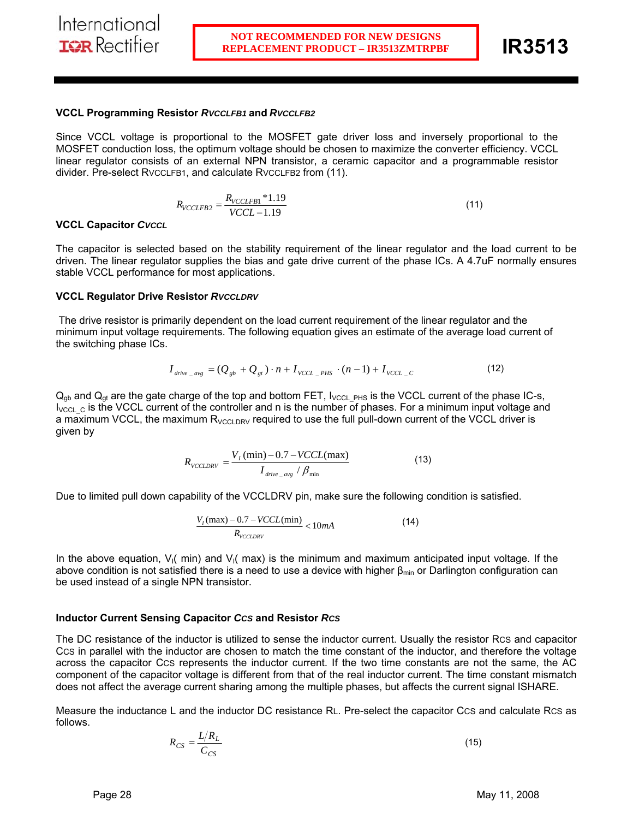### **VCCL Programming Resistor** *RVCCLFB1* **and** *RVCCLFB2*

Since VCCL voltage is proportional to the MOSFET gate driver loss and inversely proportional to the MOSFET conduction loss, the optimum voltage should be chosen to maximize the converter efficiency. VCCL linear regulator consists of an external NPN transistor, a ceramic capacitor and a programmable resistor divider. Pre-select RVCCLFB1, and calculate RVCCLFB2 from (11).

$$
R_{VCCLFB2} = \frac{R_{VCCLFB1} * 1.19}{VCCL - 1.19}
$$
\n(11)

### **VCCL Capacitor** *CVCCL*

The capacitor is selected based on the stability requirement of the linear regulator and the load current to be driven. The linear regulator supplies the bias and gate drive current of the phase ICs. A 4.7uF normally ensures stable VCCL performance for most applications.

### **VCCL Regulator Drive Resistor** *RVCCLDRV*

 The drive resistor is primarily dependent on the load current requirement of the linear regulator and the minimum input voltage requirements. The following equation gives an estimate of the average load current of the switching phase ICs.

$$
I_{drive \_{avg}} = (Q_{gb} + Q_{gt}) \cdot n + I_{VCL \_ PHS} \cdot (n-1) + I_{VCL \_ C}
$$
 (12)

 $Q_{gb}$  and  $Q_{gt}$  are the gate charge of the top and bottom FET,  $I_{VCL\_PHS}$  is the VCCL current of the phase IC-s,  $I_{\text{VCL C}}$  is the VCCL current of the controller and n is the number of phases. For a minimum input voltage and a maximum VCCL, the maximum  $R_{VCCLDRV}$  required to use the full pull-down current of the VCCL driver is given by

$$
R_{\text{VCCLDRV}} = \frac{V_I \left(\text{min}\right) - 0.7 - \text{VCCL}(\text{max})}{I_{\text{drive\_avg}} / \beta_{\text{min}}} \tag{13}
$$

Due to limited pull down capability of the VCCLDRV pin, make sure the following condition is satisfied.

$$
\frac{V_I(\text{max}) - 0.7 - VCCL(\text{min})}{R_{VCCLDRV}} < 10mA \tag{14}
$$

In the above equation,  $V_1$  min) and  $V_1$  max) is the minimum and maximum anticipated input voltage. If the above condition is not satisfied there is a need to use a device with higher  $\beta_{\text{min}}$  or Darlington configuration can be used instead of a single NPN transistor.

### **Inductor Current Sensing Capacitor** *CCS* **and Resistor** *RCS*

The DC resistance of the inductor is utilized to sense the inductor current. Usually the resistor RCS and capacitor CCS in parallel with the inductor are chosen to match the time constant of the inductor, and therefore the voltage across the capacitor CCS represents the inductor current. If the two time constants are not the same, the AC component of the capacitor voltage is different from that of the real inductor current. The time constant mismatch does not affect the average current sharing among the multiple phases, but affects the current signal ISHARE.

Measure the inductance L and the inductor DC resistance RL. Pre-select the capacitor CCS and calculate RCS as follows.

$$
R_{CS} = \frac{L/R_L}{C_{CS}}\tag{15}
$$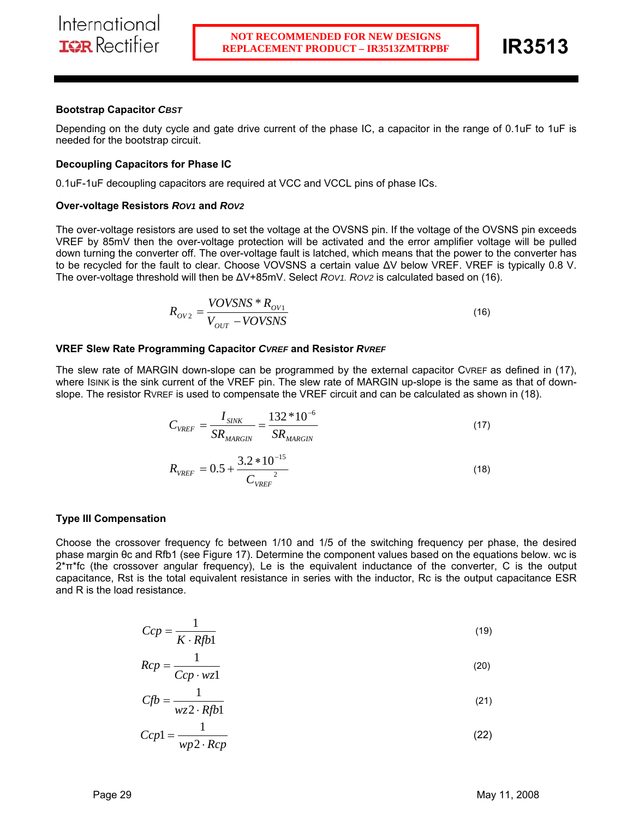### **Bootstrap Capacitor** *CBST*

Depending on the duty cycle and gate drive current of the phase IC, a capacitor in the range of 0.1uF to 1uF is needed for the bootstrap circuit.

### **Decoupling Capacitors for Phase IC**

0.1uF-1uF decoupling capacitors are required at VCC and VCCL pins of phase ICs.

### **Over-voltage Resistors** *ROV1* **and** *ROV2*

The over-voltage resistors are used to set the voltage at the OVSNS pin. If the voltage of the OVSNS pin exceeds VREF by 85mV then the over-voltage protection will be activated and the error amplifier voltage will be pulled down turning the converter off. The over-voltage fault is latched, which means that the power to the converter has to be recycled for the fault to clear. Choose VOVSNS a certain value ∆V below VREF. VREF is typically 0.8 V. The over-voltage threshold will then be ∆V+85mV. Select *ROV1. ROV2* is calculated based on (16).

$$
R_{OV2} = \frac{VOV S N S * R_{OV1}}{V_{OUT} - VOV S N S}
$$
\n(16)

### **VREF Slew Rate Programming Capacitor** *CVREF* **and Resistor** *RVREF*

The slew rate of MARGIN down-slope can be programmed by the external capacitor CVREF as defined in (17), where ISINK is the sink current of the VREF pin. The slew rate of MARGIN up-slope is the same as that of downslope. The resistor RVREF is used to compensate the VREF circuit and can be calculated as shown in (18).

$$
C_{VREF} = \frac{I_{SINK}}{SR_{MARGIN}} = \frac{132 * 10^{-6}}{SR_{MARGIN}}
$$
\n
$$
R_{VREF} = 0.5 + \frac{3.2 * 10^{-15}}{C_{VREF}^2}
$$
\n(18)

### **Type III Compensation**

Choose the crossover frequency fc between 1/10 and 1/5 of the switching frequency per phase, the desired phase margin θc and Rfb1 (see Figure 17). Determine the component values based on the equations below. wc is 2\*π\*fc (the crossover angular frequency), Le is the equivalent inductance of the converter, C is the output capacitance, Rst is the total equivalent resistance in series with the inductor, Rc is the output capacitance ESR and R is the load resistance.

$$
Ccp = \frac{1}{K \cdot Rf b1} \tag{19}
$$

$$
Rcp = \frac{1}{Ccp \cdot wz1}
$$
 (20)

$$
Cfb = \frac{1}{wz^2 \cdot Rfb1} \tag{21}
$$

$$
Ccp1 = \frac{1}{wp2 \cdot Rcp}
$$
 (22)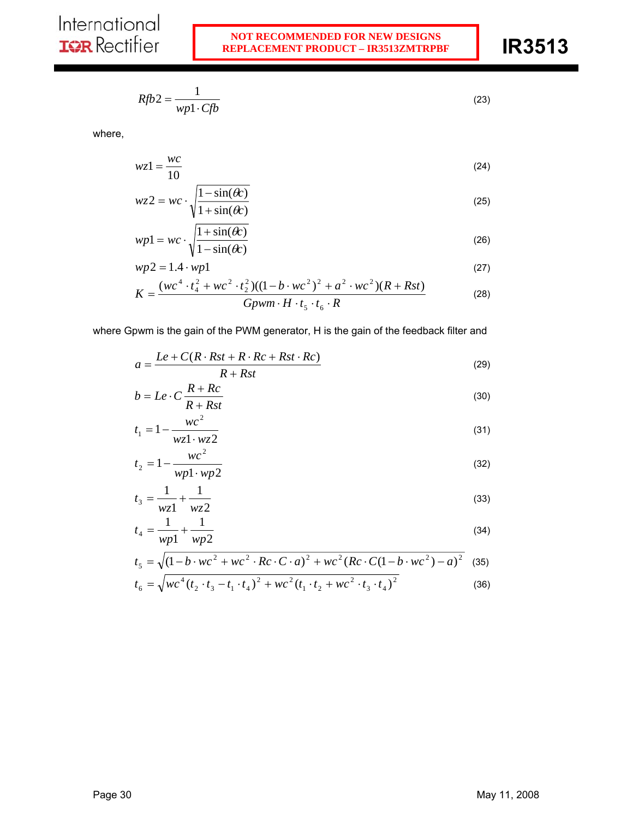$$
Rf b2 = \frac{1}{wp1 \cdot Cfb} \tag{23}
$$

where,

$$
wz1 = \frac{wc}{10}
$$
 (24)

$$
wz2 = wc \cdot \sqrt{\frac{1 - \sin(\theta c)}{1 + \sin(\theta c)}}
$$
 (25)

$$
wp1 = wc \cdot \sqrt{\frac{1 + \sin(\theta c)}{1 - \sin(\theta c)}}
$$
 (26)

$$
wp2 = 1.4 \cdot wp1 \tag{27}
$$

$$
K = \frac{(wc^4 \cdot t_4^2 + wc^2 \cdot t_2^2)((1 - b \cdot wc^2)^2 + a^2 \cdot wc^2)(R + Rst)}{Gpwm \cdot H \cdot t_5 \cdot t_6 \cdot R}
$$
 (28)

where Gpwm is the gain of the PWM generator, H is the gain of the feedback filter and

$$
a = \frac{Le + C(R \cdot Rst + R \cdot Rc + Rst \cdot Rc)}{R + Rst}
$$
\n(29)

$$
b = Le \cdot C \frac{R + Rc}{R + Rst} \tag{30}
$$

$$
t_1 = 1 - \frac{wc^2}{wz1 \cdot wz2} \tag{31}
$$

$$
t_2 = 1 - \frac{wc^2}{wp1 \cdot wp2}
$$
 (32)

$$
t_3 = \frac{1}{wz1} + \frac{1}{wz2}
$$
 (33)

$$
t_4 = \frac{1}{wp1} + \frac{1}{wp2}
$$
 (34)

$$
t_5 = \sqrt{(1 - b \cdot wc^2 + wc^2 \cdot RC \cdot C \cdot a)^2 + wc^2 (Rc \cdot C(1 - b \cdot wc^2) - a)^2}
$$
 (35)  

$$
t_7 = \sqrt{(1 - b \cdot wc^2 + wc^2 + wc^2 (t_7 + 1)w^2 (t_8 + t_7)^2}
$$
 (36)

$$
t_6 = \sqrt{wc^4 (t_2 \cdot t_3 - t_1 \cdot t_4)^2 + wc^2 (t_1 \cdot t_2 + wc^2 \cdot t_3 \cdot t_4)^2}
$$
 (36)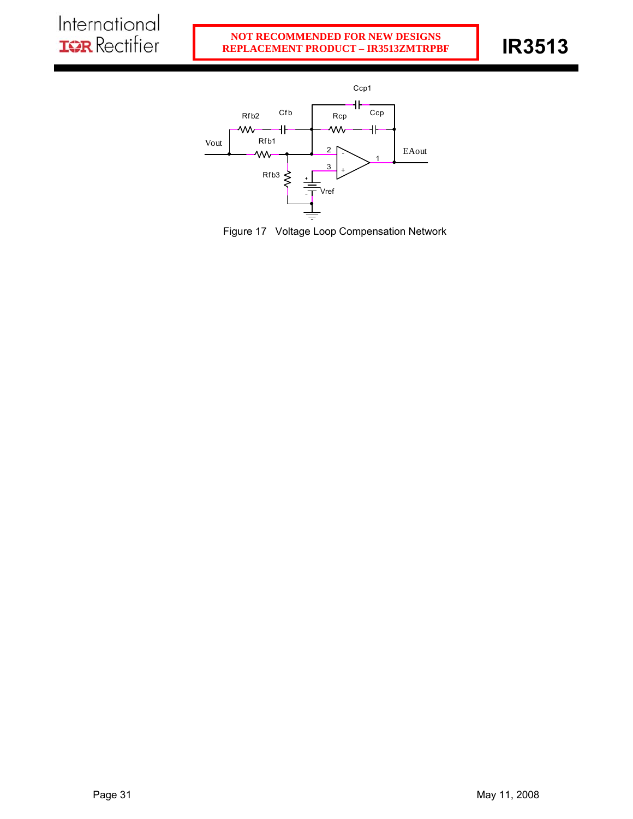

Figure 17 Voltage Loop Compensation Network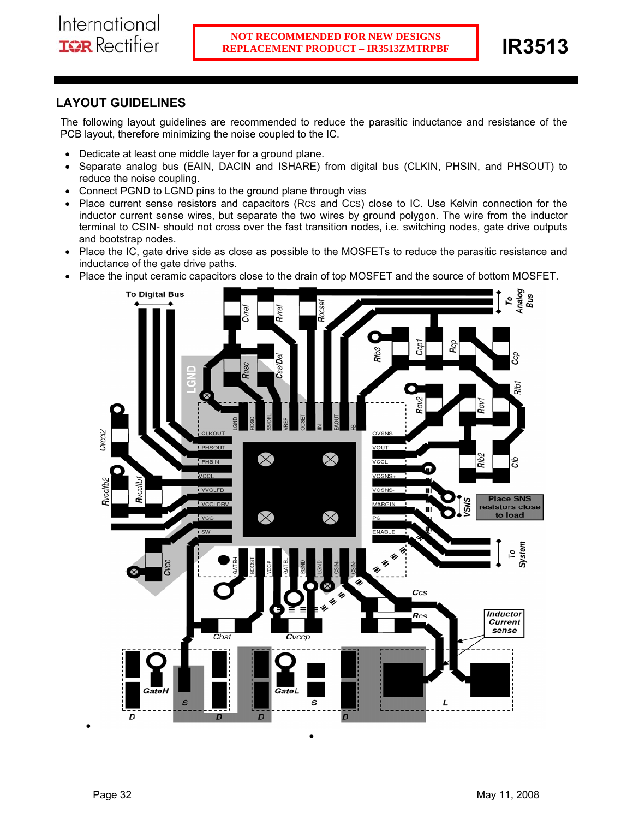# **LAYOUT GUIDELINES**

The following layout guidelines are recommended to reduce the parasitic inductance and resistance of the PCB layout, therefore minimizing the noise coupled to the IC.

- Dedicate at least one middle layer for a ground plane.
- Separate analog bus (EAIN, DACIN and ISHARE) from digital bus (CLKIN, PHSIN, and PHSOUT) to reduce the noise coupling.
- Connect PGND to LGND pins to the ground plane through vias
- Place current sense resistors and capacitors (RCS and CCS) close to IC. Use Kelvin connection for the inductor current sense wires, but separate the two wires by ground polygon. The wire from the inductor terminal to CSIN- should not cross over the fast transition nodes, i.e. switching nodes, gate drive outputs and bootstrap nodes.
- Place the IC, gate drive side as close as possible to the MOSFETs to reduce the parasitic resistance and inductance of the gate drive paths.
- Place the input ceramic capacitors close to the drain of top MOSFET and the source of bottom MOSFET.

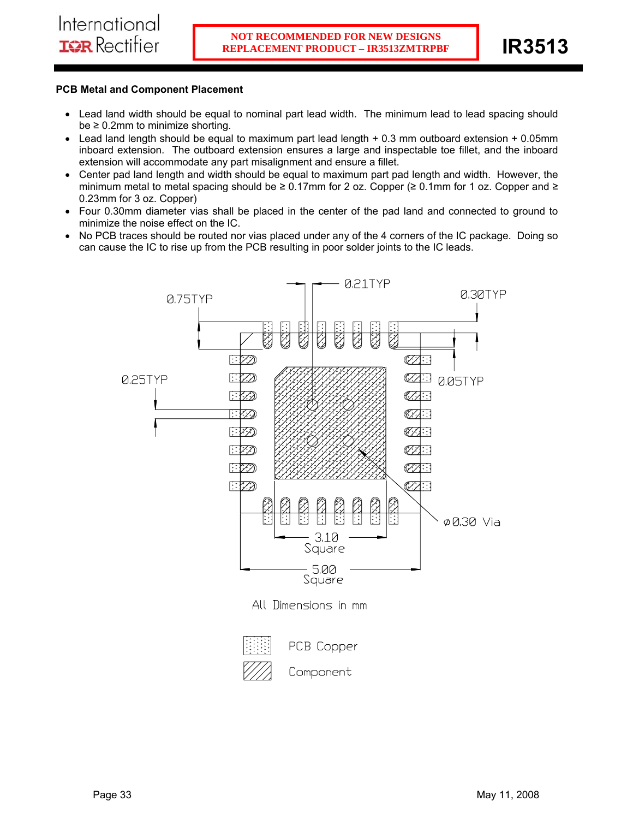# **PCB Metal and Component Placement**

- Lead land width should be equal to nominal part lead width. The minimum lead to lead spacing should  $be \geq 0.2$ mm to minimize shorting.
- Lead land length should be equal to maximum part lead length + 0.3 mm outboard extension + 0.05mm inboard extension. The outboard extension ensures a large and inspectable toe fillet, and the inboard extension will accommodate any part misalignment and ensure a fillet.
- Center pad land length and width should be equal to maximum part pad length and width. However, the minimum metal to metal spacing should be ≥ 0.17mm for 2 oz. Copper (≥ 0.1mm for 1 oz. Copper and ≥ 0.23mm for 3 oz. Copper)
- Four 0.30mm diameter vias shall be placed in the center of the pad land and connected to ground to minimize the noise effect on the IC.
- No PCB traces should be routed nor vias placed under any of the 4 corners of the IC package. Doing so can cause the IC to rise up from the PCB resulting in poor solder joints to the IC leads.

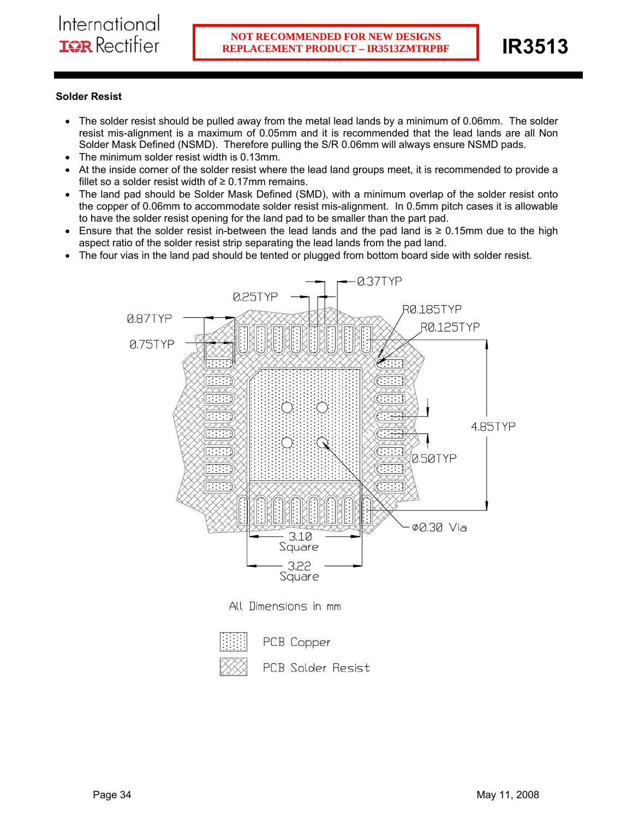# **Solder Resist**

- The solder resist should be pulled away from the metal lead lands by a minimum of 0.06mm. The solder resist mis-alignment is a maximum of 0.05mm and it is recommended that the lead lands are all Non Solder Mask Defined (NSMD). Therefore pulling the S/R 0.06mm will always ensure NSMD pads.
- The minimum solder resist width is 0.13mm.
- At the inside corner of the solder resist where the lead land groups meet, it is recommended to provide a fillet so a solder resist width of  $\geq 0.17$ mm remains.
- The land pad should be Solder Mask Defined (SMD), with a minimum overlap of the solder resist onto the copper of 0.06mm to accommodate solder resist mis-alignment. In 0.5mm pitch cases it is allowable to have the solder resist opening for the land pad to be smaller than the part pad.
- Ensure that the solder resist in-between the lead lands and the pad land is ≥ 0.15mm due to the high aspect ratio of the solder resist strip separating the lead lands from the pad land.
- The four vias in the land pad should be tented or plugged from bottom board side with solder resist.



PCB Solder Resist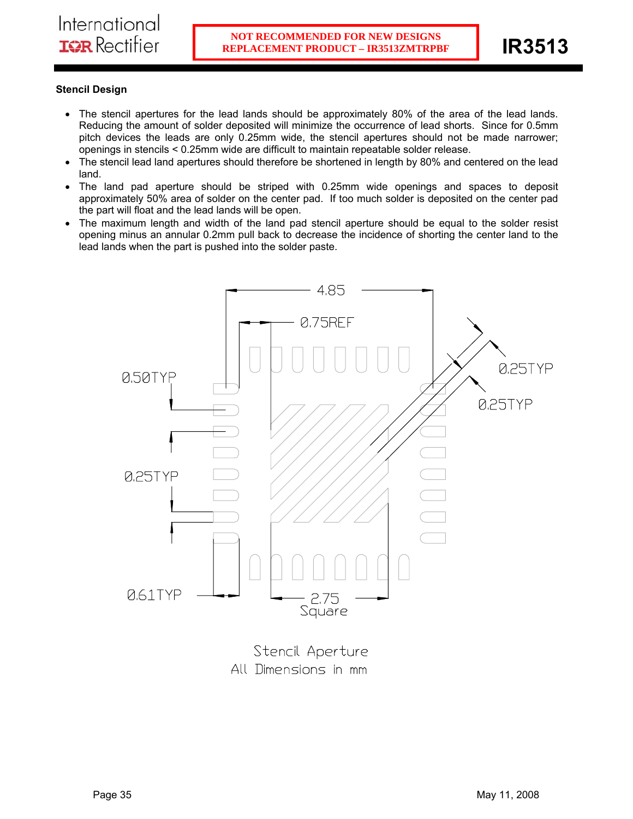# **Stencil Design**

- The stencil apertures for the lead lands should be approximately 80% of the area of the lead lands. Reducing the amount of solder deposited will minimize the occurrence of lead shorts. Since for 0.5mm pitch devices the leads are only 0.25mm wide, the stencil apertures should not be made narrower; openings in stencils < 0.25mm wide are difficult to maintain repeatable solder release.
- The stencil lead land apertures should therefore be shortened in length by 80% and centered on the lead land.
- The land pad aperture should be striped with 0.25mm wide openings and spaces to deposit approximately 50% area of solder on the center pad. If too much solder is deposited on the center pad the part will float and the lead lands will be open.
- The maximum length and width of the land pad stencil aperture should be equal to the solder resist opening minus an annular 0.2mm pull back to decrease the incidence of shorting the center land to the lead lands when the part is pushed into the solder paste.



Stencil Aperture All Dimensions in mm